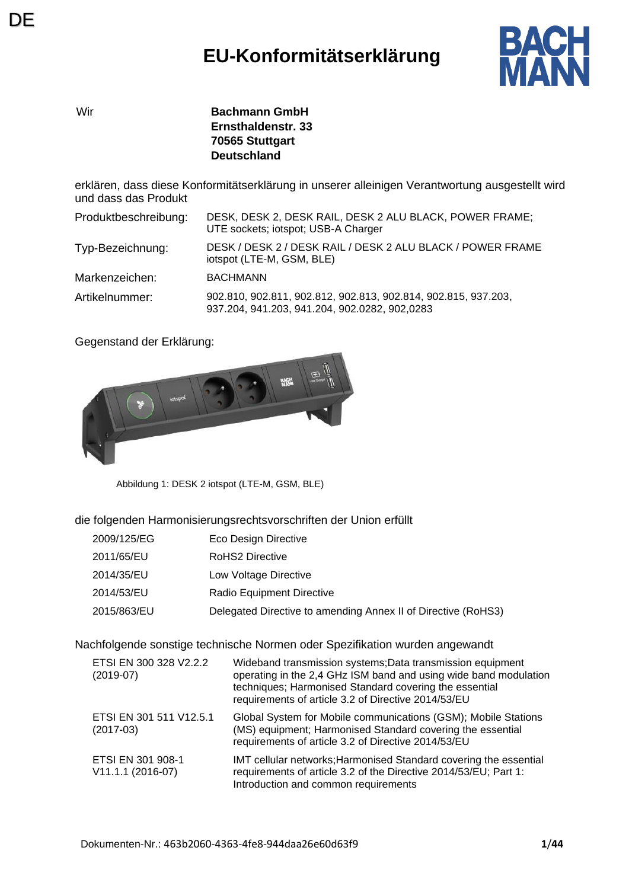## **EU-Konformitätserklärung**



Wir **Bachmann GmbH Ernsthaldenstr. 33 70565 Stuttgart Deutschland**

erklären, dass diese Konformitätserklärung in unserer alleinigen Verantwortung ausgestellt wird und dass das Produkt

| Produktbeschreibung: | DESK, DESK 2, DESK RAIL, DESK 2 ALU BLACK, POWER FRAME;<br>UTE sockets; iotspot; USB-A Charger                  |
|----------------------|-----------------------------------------------------------------------------------------------------------------|
| Typ-Bezeichnung:     | DESK / DESK 2 / DESK RAIL / DESK 2 ALU BLACK / POWER FRAME<br>iotspot (LTE-M, GSM, BLE)                         |
| Markenzeichen:       | <b>BACHMANN</b>                                                                                                 |
| Artikelnummer:       | 902.810, 902.811, 902.812, 902.813, 902.814, 902.815, 937.203,<br>937.204, 941.203, 941.204, 902.0282, 902,0283 |

Gegenstand der Erklärung:



Abbildung 1: DESK 2 iotspot (LTE-M, GSM, BLE)

die folgenden Harmonisierungsrechtsvorschriften der Union erfüllt

| 2009/125/EG | Eco Design Directive                                          |
|-------------|---------------------------------------------------------------|
| 2011/65/EU  | RoHS2 Directive                                               |
| 2014/35/EU  | Low Voltage Directive                                         |
| 2014/53/EU  | Radio Equipment Directive                                     |
| 2015/863/EU | Delegated Directive to amending Annex II of Directive (RoHS3) |

Nachfolgende sonstige technische Normen oder Spezifikation wurden angewandt

| ETSI EN 300 328 V2.2.2<br>$(2019-07)$  | Wideband transmission systems; Data transmission equipment<br>operating in the 2,4 GHz ISM band and using wide band modulation<br>techniques; Harmonised Standard covering the essential<br>requirements of article 3.2 of Directive 2014/53/EU |
|----------------------------------------|-------------------------------------------------------------------------------------------------------------------------------------------------------------------------------------------------------------------------------------------------|
| ETSI EN 301 511 V12.5.1<br>$(2017-03)$ | Global System for Mobile communications (GSM); Mobile Stations<br>(MS) equipment; Harmonised Standard covering the essential<br>requirements of article 3.2 of Directive 2014/53/EU                                                             |
| ETSI EN 301 908-1<br>V11.1.1 (2016-07) | IMT cellular networks; Harmonised Standard covering the essential<br>requirements of article 3.2 of the Directive 2014/53/EU; Part 1:<br>Introduction and common requirements                                                                   |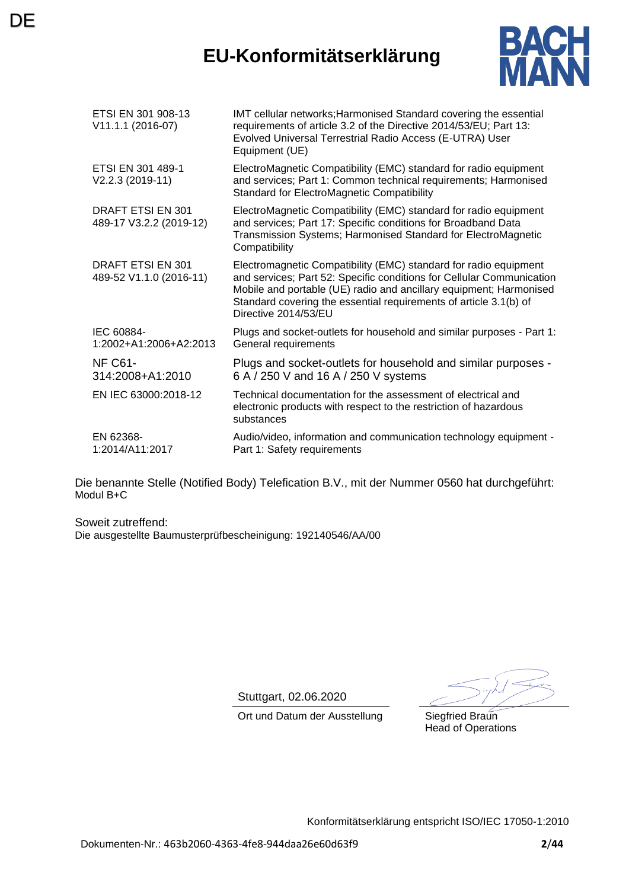## **EU-Konformitätserklärung**



| ETSI EN 301 908-13<br>V11.1.1 (2016-07)             | IMT cellular networks; Harmonised Standard covering the essential<br>requirements of article 3.2 of the Directive 2014/53/EU; Part 13:<br>Evolved Universal Terrestrial Radio Access (E-UTRA) User<br>Equipment (UE)                                                                                         |
|-----------------------------------------------------|--------------------------------------------------------------------------------------------------------------------------------------------------------------------------------------------------------------------------------------------------------------------------------------------------------------|
| ETSI EN 301 489-1<br>V2.2.3 (2019-11)               | ElectroMagnetic Compatibility (EMC) standard for radio equipment<br>and services; Part 1: Common technical requirements; Harmonised<br><b>Standard for ElectroMagnetic Compatibility</b>                                                                                                                     |
| <b>DRAFT ETSI EN 301</b><br>489-17 V3.2.2 (2019-12) | ElectroMagnetic Compatibility (EMC) standard for radio equipment<br>and services; Part 17: Specific conditions for Broadband Data<br>Transmission Systems; Harmonised Standard for ElectroMagnetic<br>Compatibility                                                                                          |
| <b>DRAFT ETSI EN 301</b><br>489-52 V1.1.0 (2016-11) | Electromagnetic Compatibility (EMC) standard for radio equipment<br>and services; Part 52: Specific conditions for Cellular Communication<br>Mobile and portable (UE) radio and ancillary equipment; Harmonised<br>Standard covering the essential requirements of article 3.1(b) of<br>Directive 2014/53/EU |
| IEC 60884-<br>1:2002+A1:2006+A2:2013                | Plugs and socket-outlets for household and similar purposes - Part 1:<br>General requirements                                                                                                                                                                                                                |
| NF C61-<br>314:2008+A1:2010                         | Plugs and socket-outlets for household and similar purposes -<br>6 A / 250 V and 16 A / 250 V systems                                                                                                                                                                                                        |
| EN IEC 63000:2018-12                                | Technical documentation for the assessment of electrical and<br>electronic products with respect to the restriction of hazardous<br>substances                                                                                                                                                               |
| EN 62368-<br>1:2014/A11:2017                        | Audio/video, information and communication technology equipment -<br>Part 1: Safety requirements                                                                                                                                                                                                             |

Die benannte Stelle (Notified Body) Telefication B.V., mit der Nummer 0560 hat durchgeführt: Modul B+C

Soweit zutreffend: Die ausgestellte Baumusterprüfbescheinigung: 192140546/AA/00

**DE** 

Stuttgart, 02.06.2020

Ort und Datum der Ausstellung Siegfried Braun

Head of Operations

Konformitätserklärung entspricht ISO/IEC 17050-1:2010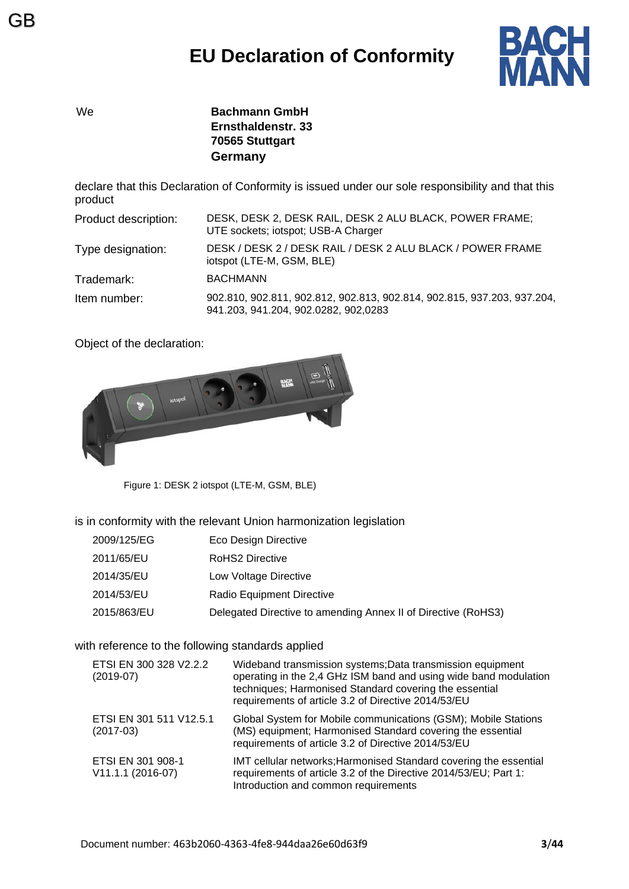

We **Bachmann GmbH Ernsthaldenstr. 33 70565 Stuttgart Germany**

declare that this Declaration of Conformity is issued under our sole responsibility and that this product

| Product description: | DESK, DESK 2, DESK RAIL, DESK 2 ALU BLACK, POWER FRAME;<br>UTE sockets; iotspot; USB-A Charger                  |
|----------------------|-----------------------------------------------------------------------------------------------------------------|
| Type designation:    | DESK / DESK 2 / DESK RAIL / DESK 2 ALU BLACK / POWER FRAME<br>iotspot (LTE-M, GSM, BLE)                         |
| Trademark:           | <b>BACHMANN</b>                                                                                                 |
| Item number:         | 902.810, 902.811, 902.812, 902.813, 902.814, 902.815, 937.203, 937.204,<br>941.203, 941.204, 902.0282, 902,0283 |

Object of the declaration:



Figure 1: DESK 2 iotspot (LTE-M, GSM, BLE)

is in conformity with the relevant Union harmonization legislation

| 2009/125/EG | Eco Design Directive                                          |
|-------------|---------------------------------------------------------------|
| 2011/65/EU  | RoHS2 Directive                                               |
| 2014/35/EU  | Low Voltage Directive                                         |
| 2014/53/EU  | <b>Radio Equipment Directive</b>                              |
| 2015/863/EU | Delegated Directive to amending Annex II of Directive (RoHS3) |

with reference to the following standards applied

| ETSI EN 300 328 V2.2.2<br>$(2019-07)$  | Wideband transmission systems; Data transmission equipment<br>operating in the 2,4 GHz ISM band and using wide band modulation<br>techniques; Harmonised Standard covering the essential<br>requirements of article 3.2 of Directive 2014/53/EU |
|----------------------------------------|-------------------------------------------------------------------------------------------------------------------------------------------------------------------------------------------------------------------------------------------------|
| ETSI EN 301 511 V12.5.1<br>$(2017-03)$ | Global System for Mobile communications (GSM); Mobile Stations<br>(MS) equipment; Harmonised Standard covering the essential<br>requirements of article 3.2 of Directive 2014/53/EU                                                             |
| ETSI EN 301 908-1<br>V11.1.1 (2016-07) | IMT cellular networks; Harmonised Standard covering the essential<br>requirements of article 3.2 of the Directive 2014/53/EU; Part 1:<br>Introduction and common requirements                                                                   |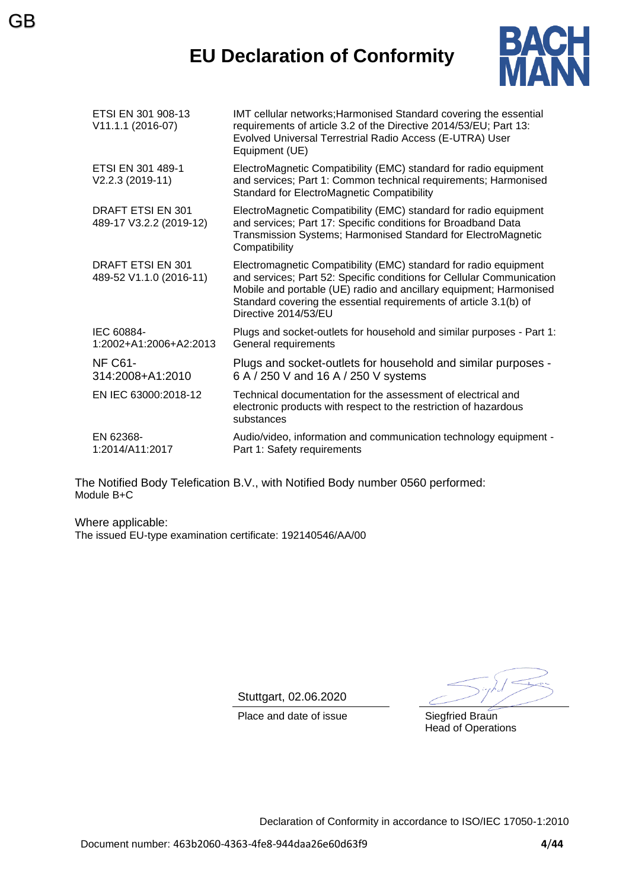## **EU Declaration of Conformity**



| ETSI EN 301 908-13<br>V11.1.1 (2016-07)      | IMT cellular networks; Harmonised Standard covering the essential<br>requirements of article 3.2 of the Directive 2014/53/EU; Part 13:<br>Evolved Universal Terrestrial Radio Access (E-UTRA) User<br>Equipment (UE)                                                                                         |
|----------------------------------------------|--------------------------------------------------------------------------------------------------------------------------------------------------------------------------------------------------------------------------------------------------------------------------------------------------------------|
| ETSI EN 301 489-1<br>V2.2.3 (2019-11)        | ElectroMagnetic Compatibility (EMC) standard for radio equipment<br>and services; Part 1: Common technical requirements; Harmonised<br><b>Standard for ElectroMagnetic Compatibility</b>                                                                                                                     |
| DRAFT ETSI EN 301<br>489-17 V3.2.2 (2019-12) | ElectroMagnetic Compatibility (EMC) standard for radio equipment<br>and services; Part 17: Specific conditions for Broadband Data<br>Transmission Systems; Harmonised Standard for ElectroMagnetic<br>Compatibility                                                                                          |
| DRAFT ETSI EN 301<br>489-52 V1.1.0 (2016-11) | Electromagnetic Compatibility (EMC) standard for radio equipment<br>and services; Part 52: Specific conditions for Cellular Communication<br>Mobile and portable (UE) radio and ancillary equipment; Harmonised<br>Standard covering the essential requirements of article 3.1(b) of<br>Directive 2014/53/EU |
| IEC 60884-<br>1:2002+A1:2006+A2:2013         | Plugs and socket-outlets for household and similar purposes - Part 1:<br>General requirements                                                                                                                                                                                                                |
| NF C61-<br>314:2008+A1:2010                  | Plugs and socket-outlets for household and similar purposes -<br>6 A / 250 V and 16 A / 250 V systems                                                                                                                                                                                                        |
| EN IEC 63000:2018-12                         | Technical documentation for the assessment of electrical and<br>electronic products with respect to the restriction of hazardous<br>substances                                                                                                                                                               |
| EN 62368-<br>1:2014/A11:2017                 | Audio/video, information and communication technology equipment -<br>Part 1: Safety requirements                                                                                                                                                                                                             |

The Notified Body Telefication B.V., with Notified Body number 0560 performed: Module B+C

Where applicable: The issued EU-type examination certificate: 192140546/AA/00

GB

Stuttgart, 02.06.2020

Place and date of issue Siegfried Braun

Head of Operations

Declaration of Conformity in accordance to ISO/IEC 17050-1:2010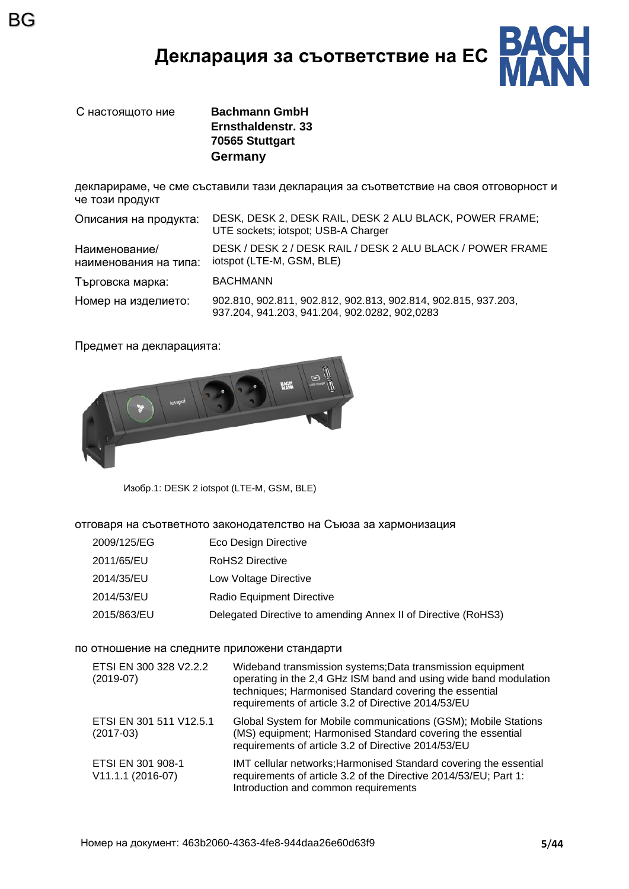## **Декларация за съответствие на ЕС**



BG

С настоящото ние **Bachmann GmbH Ernsthaldenstr. 33 70565 Stuttgart Germany**

декларираме, че сме съставили тази декларация за съответствие на своя отговорност и че този продукт

| Описания на продукта:                  | DESK, DESK 2, DESK RAIL, DESK 2 ALU BLACK, POWER FRAME;<br>UTE sockets; iotspot; USB-A Charger                  |
|----------------------------------------|-----------------------------------------------------------------------------------------------------------------|
| Наименование/<br>наименования на типа: | DESK / DESK 2 / DESK RAIL / DESK 2 ALU BLACK / POWER FRAME<br>iotspot (LTE-M, GSM, BLE)                         |
| Търговска марка:                       | <b>BACHMANN</b>                                                                                                 |
| Номер на изделието:                    | 902.810, 902.811, 902.812, 902.813, 902.814, 902.815, 937.203,<br>937.204, 941.203, 941.204, 902.0282, 902,0283 |

Предмет на декларацията:



Изобр.1: DESK 2 iotspot (LTE-M, GSM, BLE)

отговаря на съответното законодателство на Съюза за хармонизация

| 2009/125/EG | Eco Design Directive                                          |
|-------------|---------------------------------------------------------------|
| 2011/65/EU  | RoHS2 Directive                                               |
| 2014/35/EU  | Low Voltage Directive                                         |
| 2014/53/EU  | Radio Equipment Directive                                     |
| 2015/863/EU | Delegated Directive to amending Annex II of Directive (RoHS3) |

#### по отношение на следните приложени стандарти

| ETSI EN 300 328 V2.2.2<br>$(2019-07)$  | Wideband transmission systems; Data transmission equipment<br>operating in the 2,4 GHz ISM band and using wide band modulation<br>techniques; Harmonised Standard covering the essential<br>requirements of article 3.2 of Directive 2014/53/EU |
|----------------------------------------|-------------------------------------------------------------------------------------------------------------------------------------------------------------------------------------------------------------------------------------------------|
| ETSI EN 301 511 V12.5.1<br>$(2017-03)$ | Global System for Mobile communications (GSM); Mobile Stations<br>(MS) equipment; Harmonised Standard covering the essential<br>requirements of article 3.2 of Directive 2014/53/EU                                                             |
| ETSI EN 301 908-1<br>V11.1.1 (2016-07) | IMT cellular networks; Harmonised Standard covering the essential<br>requirements of article 3.2 of the Directive 2014/53/EU; Part 1:<br>Introduction and common requirements                                                                   |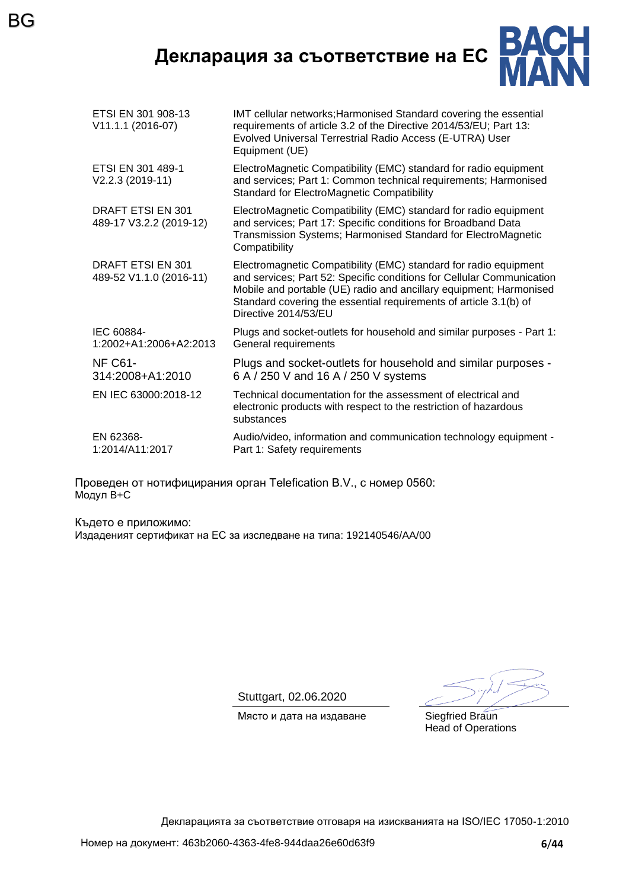**Декларация за съответствие на ЕС**

BG



| ETSI EN 301 908-13<br>V11.1.1 (2016-07)      | IMT cellular networks; Harmonised Standard covering the essential<br>requirements of article 3.2 of the Directive 2014/53/EU; Part 13:<br>Evolved Universal Terrestrial Radio Access (E-UTRA) User<br>Equipment (UE)                                                                                         |
|----------------------------------------------|--------------------------------------------------------------------------------------------------------------------------------------------------------------------------------------------------------------------------------------------------------------------------------------------------------------|
| ETSI EN 301 489-1<br>V2.2.3 (2019-11)        | ElectroMagnetic Compatibility (EMC) standard for radio equipment<br>and services; Part 1: Common technical requirements; Harmonised<br><b>Standard for ElectroMagnetic Compatibility</b>                                                                                                                     |
| DRAFT ETSI EN 301<br>489-17 V3.2.2 (2019-12) | ElectroMagnetic Compatibility (EMC) standard for radio equipment<br>and services; Part 17: Specific conditions for Broadband Data<br>Transmission Systems; Harmonised Standard for ElectroMagnetic<br>Compatibility                                                                                          |
| DRAFT ETSI EN 301<br>489-52 V1.1.0 (2016-11) | Electromagnetic Compatibility (EMC) standard for radio equipment<br>and services; Part 52: Specific conditions for Cellular Communication<br>Mobile and portable (UE) radio and ancillary equipment; Harmonised<br>Standard covering the essential requirements of article 3.1(b) of<br>Directive 2014/53/EU |
| IEC 60884-<br>1:2002+A1:2006+A2:2013         | Plugs and socket-outlets for household and similar purposes - Part 1:<br>General requirements                                                                                                                                                                                                                |
| NF C61-<br>314:2008+A1:2010                  | Plugs and socket-outlets for household and similar purposes -<br>6 A / 250 V and 16 A / 250 V systems                                                                                                                                                                                                        |
| EN IEC 63000:2018-12                         | Technical documentation for the assessment of electrical and<br>electronic products with respect to the restriction of hazardous<br>substances                                                                                                                                                               |
| EN 62368-<br>1:2014/A11:2017                 | Audio/video, information and communication technology equipment -<br>Part 1: Safety requirements                                                                                                                                                                                                             |

Проведен от нотифицирания орган Telefication B.V., с номер 0560: Модул B+C

Където е приложимо: Издаденият сертификат на ЕС за изследване на типа: 192140546/AA/00

Stuttgart, 02.06.2020

Място и дата на издаване Siegfried Braun

Head of Operations

Декларацията за съответствие отговаря на изискванията на ISO/IEC 17050-1:2010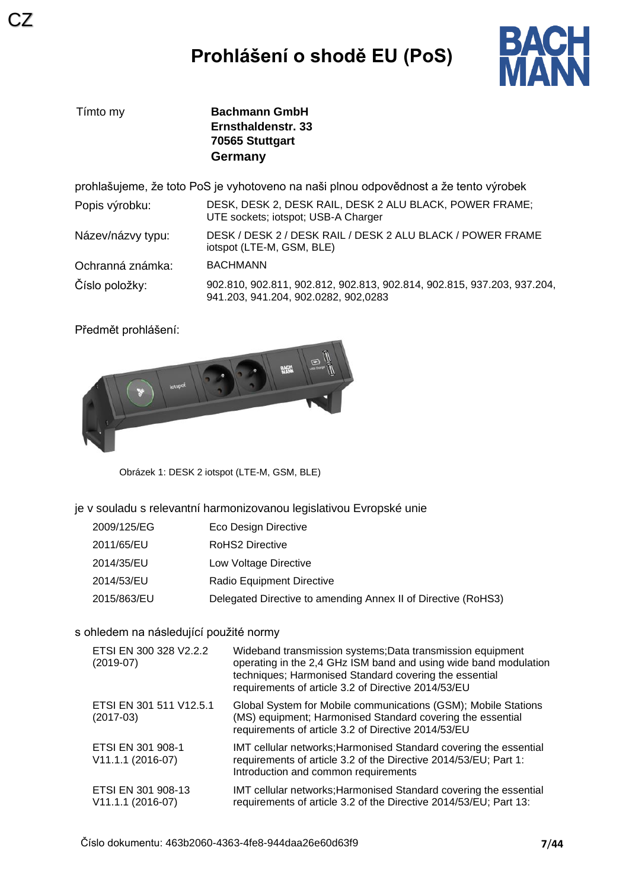# **Prohlášení o shodě EU (PoS)**



| Tímto my          | <b>Bachmann GmbH</b><br>Ernsthaldenstr. 33<br>70565 Stuttgart<br>Germany                                        |
|-------------------|-----------------------------------------------------------------------------------------------------------------|
|                   | prohlašujeme, že toto PoS je vyhotoveno na naši plnou odpovědnost a že tento výrobek                            |
| Popis výrobku:    | DESK, DESK 2, DESK RAIL, DESK 2 ALU BLACK, POWER FRAME;<br>UTE sockets; iotspot; USB-A Charger                  |
| Název/názvy typu: | DESK / DESK 2 / DESK RAIL / DESK 2 ALU BLACK / POWER FRAME<br>iotspot (LTE-M, GSM, BLE)                         |
| Ochranná známka:  | <b>BACHMANN</b>                                                                                                 |
| Číslo položky:    | 902.810, 902.811, 902.812, 902.813, 902.814, 902.815, 937.203, 937.204,<br>941.203, 941.204, 902.0282, 902,0283 |

Předmět prohlášení:



Obrázek 1: DESK 2 iotspot (LTE-M, GSM, BLE)

je v souladu s relevantní harmonizovanou legislativou Evropské unie

| 2009/125/EG | Eco Design Directive                                          |
|-------------|---------------------------------------------------------------|
| 2011/65/EU  | <b>RoHS2 Directive</b>                                        |
| 2014/35/EU  | Low Voltage Directive                                         |
| 2014/53/EU  | Radio Equipment Directive                                     |
| 2015/863/EU | Delegated Directive to amending Annex II of Directive (RoHS3) |

### s ohledem na následující použité normy

| ETSI EN 300 328 V2.2.2<br>$(2019-07)$   | Wideband transmission systems; Data transmission equipment<br>operating in the 2,4 GHz ISM band and using wide band modulation<br>techniques; Harmonised Standard covering the essential<br>requirements of article 3.2 of Directive 2014/53/EU |
|-----------------------------------------|-------------------------------------------------------------------------------------------------------------------------------------------------------------------------------------------------------------------------------------------------|
| ETSI EN 301 511 V12.5.1<br>$(2017-03)$  | Global System for Mobile communications (GSM); Mobile Stations<br>(MS) equipment; Harmonised Standard covering the essential<br>requirements of article 3.2 of Directive 2014/53/EU                                                             |
| ETSI EN 301 908-1<br>V11.1.1 (2016-07)  | IMT cellular networks; Harmonised Standard covering the essential<br>requirements of article 3.2 of the Directive 2014/53/EU; Part 1:<br>Introduction and common requirements                                                                   |
| ETSI EN 301 908-13<br>V11.1.1 (2016-07) | IMT cellular networks; Harmonised Standard covering the essential<br>requirements of article 3.2 of the Directive 2014/53/EU; Part 13:                                                                                                          |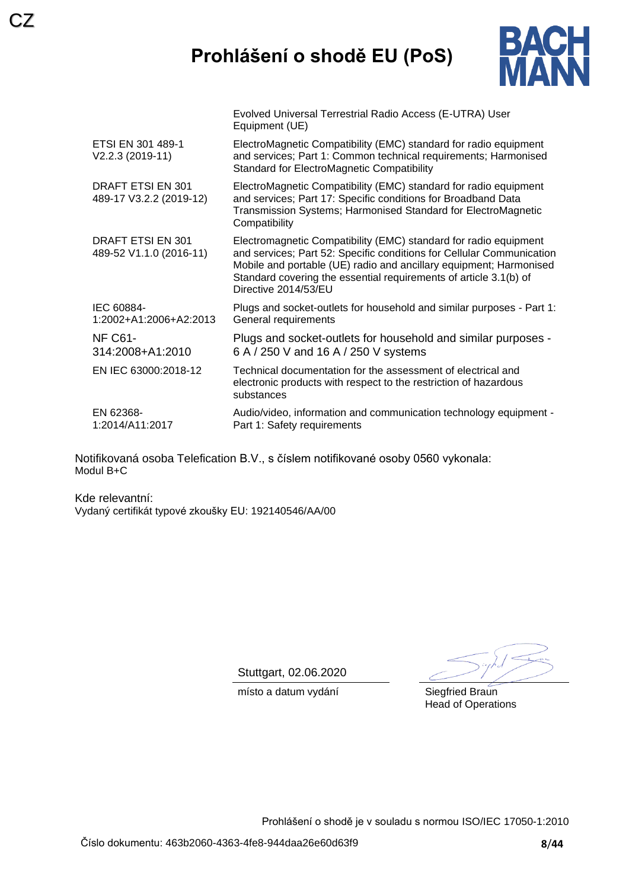# **Prohlášení o shodě EU (PoS)**

Evolved Universal Terrestrial Radio Access (E-UTRA) User



|                                              | Equipment (UE)                                                                                                                                                                                                                                                                                               |
|----------------------------------------------|--------------------------------------------------------------------------------------------------------------------------------------------------------------------------------------------------------------------------------------------------------------------------------------------------------------|
| ETSI EN 301 489-1<br>V2.2.3 (2019-11)        | ElectroMagnetic Compatibility (EMC) standard for radio equipment<br>and services; Part 1: Common technical requirements; Harmonised<br><b>Standard for ElectroMagnetic Compatibility</b>                                                                                                                     |
| DRAFT ETSI EN 301<br>489-17 V3.2.2 (2019-12) | ElectroMagnetic Compatibility (EMC) standard for radio equipment<br>and services; Part 17: Specific conditions for Broadband Data<br>Transmission Systems; Harmonised Standard for ElectroMagnetic<br>Compatibility                                                                                          |
| DRAFT ETSI EN 301<br>489-52 V1.1.0 (2016-11) | Electromagnetic Compatibility (EMC) standard for radio equipment<br>and services; Part 52: Specific conditions for Cellular Communication<br>Mobile and portable (UE) radio and ancillary equipment; Harmonised<br>Standard covering the essential requirements of article 3.1(b) of<br>Directive 2014/53/EU |
| IEC 60884-<br>1:2002+A1:2006+A2:2013         | Plugs and socket-outlets for household and similar purposes - Part 1:<br>General requirements                                                                                                                                                                                                                |
| <b>NF C61-</b><br>314:2008+A1:2010           | Plugs and socket-outlets for household and similar purposes -<br>6 A / 250 V and 16 A / 250 V systems                                                                                                                                                                                                        |
| EN IEC 63000:2018-12                         | Technical documentation for the assessment of electrical and<br>electronic products with respect to the restriction of hazardous<br>substances                                                                                                                                                               |
| EN 62368-<br>1:2014/A11:2017                 | Audio/video, information and communication technology equipment -<br>Part 1: Safety requirements                                                                                                                                                                                                             |

Notifikovaná osoba Telefication B.V., s číslem notifikované osoby 0560 vykonala: Modul B+C

Kde relevantní: Vydaný certifikát typové zkoušky EU: 192140546/AA/00

Stuttgart, 02.06.2020

místo a datum vydání **Siegfried Braun** 

Head of Operations

Prohlášení o shodě je v souladu s normou ISO/IEC 17050-1:2010

CZ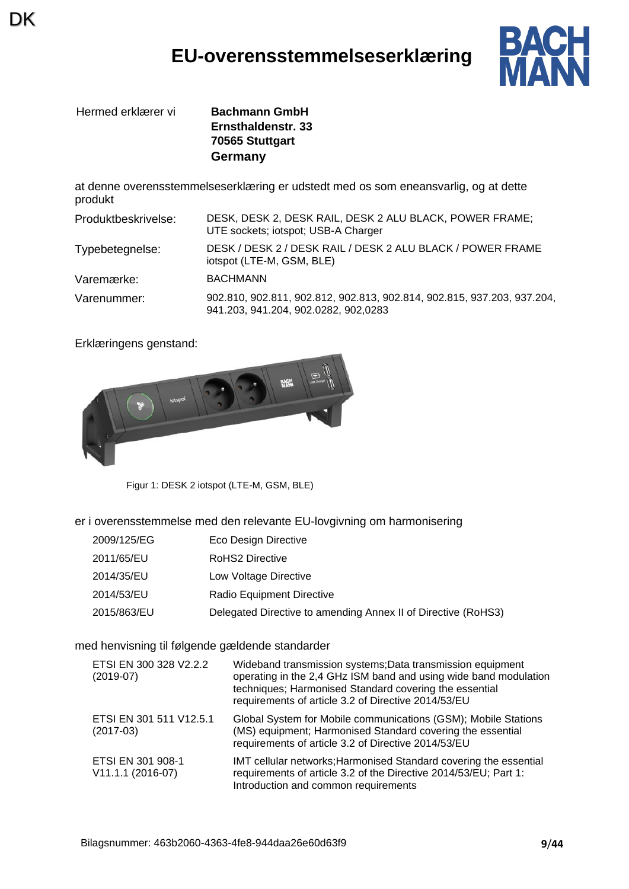## **EU-overensstemmelseserklæring**



Hermed erklærer vi **Bachmann GmbH**

DK

**Ernsthaldenstr. 33 70565 Stuttgart Germany**

at denne overensstemmelseserklæring er udstedt med os som eneansvarlig, og at dette produkt

| Produktbeskrivelse: | DESK, DESK 2, DESK RAIL, DESK 2 ALU BLACK, POWER FRAME;<br>UTE sockets; iotspot; USB-A Charger                  |
|---------------------|-----------------------------------------------------------------------------------------------------------------|
| Typebetegnelse:     | DESK / DESK 2 / DESK RAIL / DESK 2 ALU BLACK / POWER FRAME<br>iotspot (LTE-M, GSM, BLE)                         |
| Varemærke:          | <b>BACHMANN</b>                                                                                                 |
| Varenummer:         | 902.810, 902.811, 902.812, 902.813, 902.814, 902.815, 937.203, 937.204,<br>941.203, 941.204, 902.0282, 902,0283 |

Erklæringens genstand:



Figur 1: DESK 2 iotspot (LTE-M, GSM, BLE)

er i overensstemmelse med den relevante EU-lovgivning om harmonisering

| 2009/125/EG | Eco Design Directive                                          |
|-------------|---------------------------------------------------------------|
| 2011/65/EU  | RoHS2 Directive                                               |
| 2014/35/EU  | Low Voltage Directive                                         |
| 2014/53/EU  | Radio Equipment Directive                                     |
| 2015/863/EU | Delegated Directive to amending Annex II of Directive (RoHS3) |

med henvisning til følgende gældende standarder

| ETSI EN 300 328 V2.2.2<br>$(2019-07)$  | Wideband transmission systems; Data transmission equipment<br>operating in the 2,4 GHz ISM band and using wide band modulation<br>techniques; Harmonised Standard covering the essential<br>requirements of article 3.2 of Directive 2014/53/EU |
|----------------------------------------|-------------------------------------------------------------------------------------------------------------------------------------------------------------------------------------------------------------------------------------------------|
| ETSI EN 301 511 V12.5.1<br>$(2017-03)$ | Global System for Mobile communications (GSM); Mobile Stations<br>(MS) equipment; Harmonised Standard covering the essential<br>requirements of article 3.2 of Directive 2014/53/EU                                                             |
| ETSI EN 301 908-1<br>V11.1.1 (2016-07) | IMT cellular networks; Harmonised Standard covering the essential<br>requirements of article 3.2 of the Directive 2014/53/EU; Part 1:<br>Introduction and common requirements                                                                   |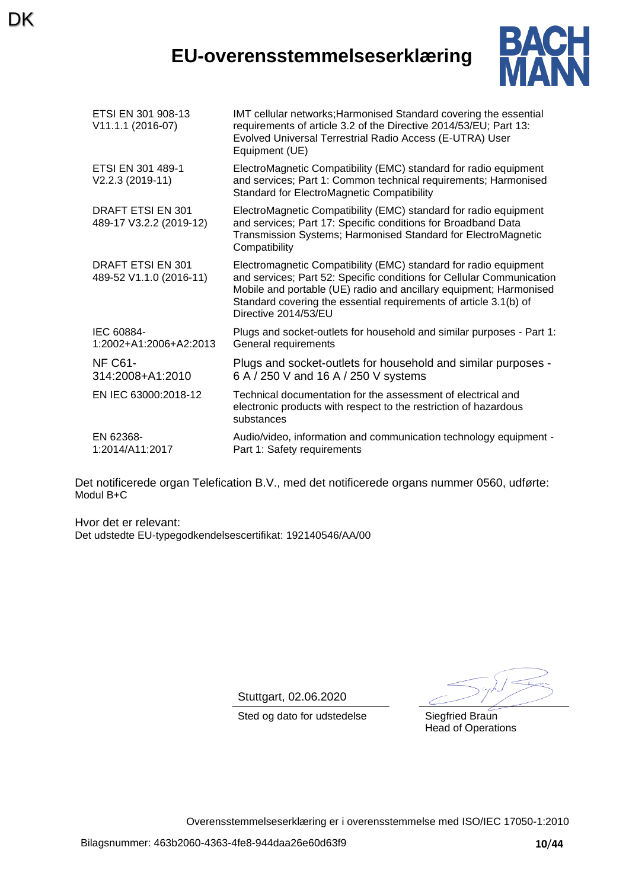## **EU-overensstemmelseserklæring**



| ETSI EN 301 908-13<br>V11.1.1 (2016-07)      | IMT cellular networks; Harmonised Standard covering the essential<br>requirements of article 3.2 of the Directive 2014/53/EU; Part 13:<br>Evolved Universal Terrestrial Radio Access (E-UTRA) User<br>Equipment (UE)                                                                                         |
|----------------------------------------------|--------------------------------------------------------------------------------------------------------------------------------------------------------------------------------------------------------------------------------------------------------------------------------------------------------------|
| ETSI EN 301 489-1<br>V2.2.3 (2019-11)        | ElectroMagnetic Compatibility (EMC) standard for radio equipment<br>and services; Part 1: Common technical requirements; Harmonised<br><b>Standard for ElectroMagnetic Compatibility</b>                                                                                                                     |
| DRAFT ETSI EN 301<br>489-17 V3.2.2 (2019-12) | ElectroMagnetic Compatibility (EMC) standard for radio equipment<br>and services; Part 17: Specific conditions for Broadband Data<br>Transmission Systems; Harmonised Standard for ElectroMagnetic<br>Compatibility                                                                                          |
| DRAFT ETSI EN 301<br>489-52 V1.1.0 (2016-11) | Electromagnetic Compatibility (EMC) standard for radio equipment<br>and services; Part 52: Specific conditions for Cellular Communication<br>Mobile and portable (UE) radio and ancillary equipment; Harmonised<br>Standard covering the essential requirements of article 3.1(b) of<br>Directive 2014/53/EU |
| IEC 60884-<br>1:2002+A1:2006+A2:2013         | Plugs and socket-outlets for household and similar purposes - Part 1:<br>General requirements                                                                                                                                                                                                                |
| NF C61-<br>314:2008+A1:2010                  | Plugs and socket-outlets for household and similar purposes -<br>6 A / 250 V and 16 A / 250 V systems                                                                                                                                                                                                        |
| EN IEC 63000:2018-12                         | Technical documentation for the assessment of electrical and<br>electronic products with respect to the restriction of hazardous<br>substances                                                                                                                                                               |
| EN 62368-<br>1:2014/A11:2017                 | Audio/video, information and communication technology equipment -<br>Part 1: Safety requirements                                                                                                                                                                                                             |

Det notificerede organ Telefication B.V., med det notificerede organs nummer 0560, udførte: Modul B+C

Hvor det er relevant: Det udstedte EU-typegodkendelsescertifikat: 192140546/AA/00

**DK** 

Stuttgart, 02.06.2020

Sted og dato for udstedelse Siegfried Braun Head of Operations

Overensstemmelseserklæring er i overensstemmelse med ISO/IEC 17050-1:2010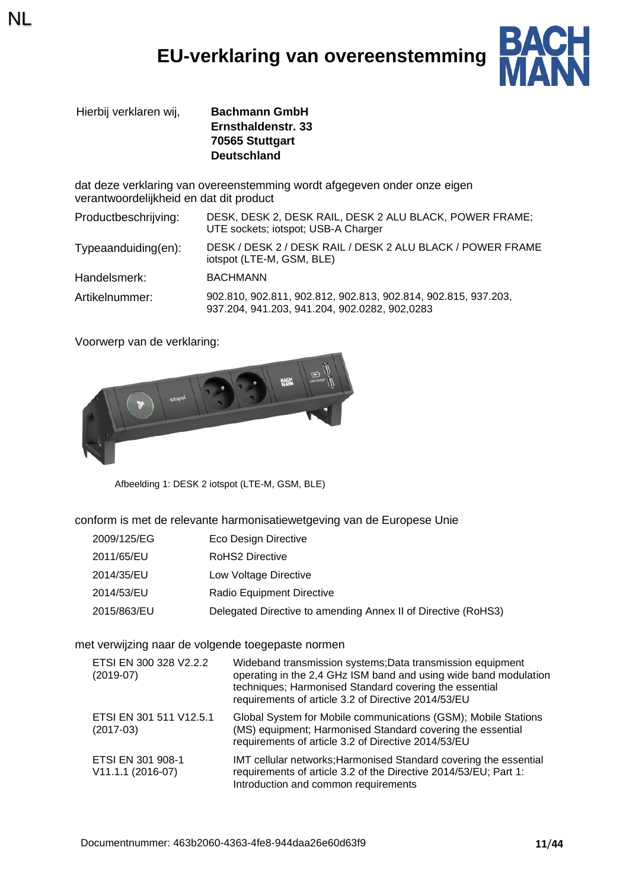## **EU-verklaring van overeenstemming**



Hierbij verklaren wij, **Bachmann GmbH Ernsthaldenstr. 33 70565 Stuttgart Deutschland**

dat deze verklaring van overeenstemming wordt afgegeven onder onze eigen verantwoordelijkheid en dat dit product

| Productbeschrijving:    | DESK, DESK 2, DESK RAIL, DESK 2 ALU BLACK, POWER FRAME;<br>UTE sockets; iotspot; USB-A Charger                  |
|-------------------------|-----------------------------------------------------------------------------------------------------------------|
| $Typea anduiding(en)$ : | DESK / DESK 2 / DESK RAIL / DESK 2 ALU BLACK / POWER FRAME<br>iotspot (LTE-M, GSM, BLE)                         |
| Handelsmerk:            | <b>BACHMANN</b>                                                                                                 |
| Artikelnummer:          | 902.810, 902.811, 902.812, 902.813, 902.814, 902.815, 937.203,<br>937.204, 941.203, 941.204, 902.0282, 902,0283 |

Voorwerp van de verklaring:

NL



Afbeelding 1: DESK 2 iotspot (LTE-M, GSM, BLE)

conform is met de relevante harmonisatiewetgeving van de Europese Unie

| 2009/125/EG | Eco Design Directive                                          |
|-------------|---------------------------------------------------------------|
| 2011/65/EU  | <b>RoHS2 Directive</b>                                        |
| 2014/35/EU  | Low Voltage Directive                                         |
| 2014/53/EU  | Radio Equipment Directive                                     |
| 2015/863/EU | Delegated Directive to amending Annex II of Directive (RoHS3) |

met verwijzing naar de volgende toegepaste normen

| ETSI EN 300 328 V2.2.2<br>$(2019-07)$  | Wideband transmission systems; Data transmission equipment<br>operating in the 2,4 GHz ISM band and using wide band modulation<br>techniques; Harmonised Standard covering the essential<br>requirements of article 3.2 of Directive 2014/53/EU |
|----------------------------------------|-------------------------------------------------------------------------------------------------------------------------------------------------------------------------------------------------------------------------------------------------|
| ETSI EN 301 511 V12.5.1<br>$(2017-03)$ | Global System for Mobile communications (GSM); Mobile Stations<br>(MS) equipment; Harmonised Standard covering the essential<br>requirements of article 3.2 of Directive 2014/53/EU                                                             |
| ETSI EN 301 908-1<br>V11.1.1 (2016-07) | IMT cellular networks; Harmonised Standard covering the essential<br>requirements of article 3.2 of the Directive 2014/53/EU; Part 1:<br>Introduction and common requirements                                                                   |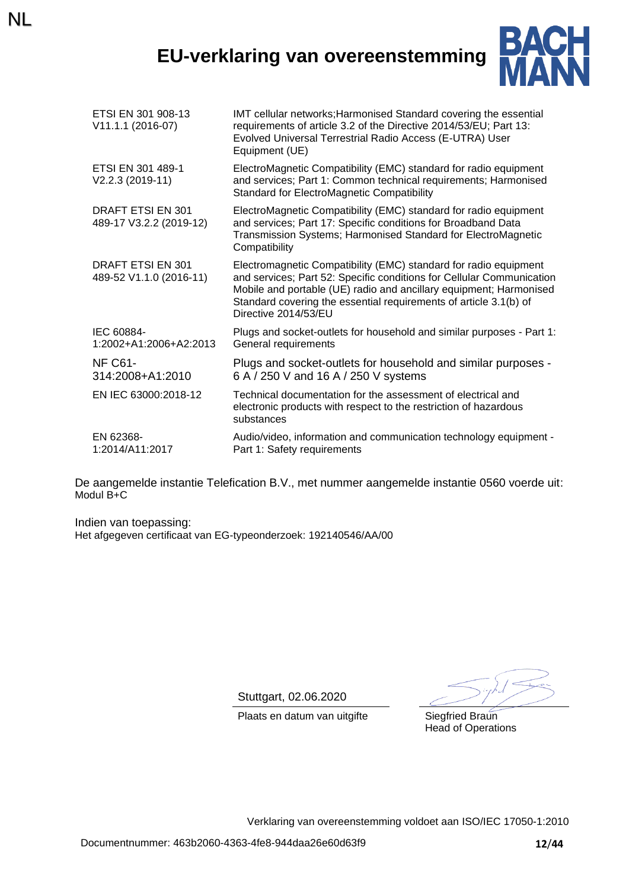## **EU-verklaring van overeenstemming**

NL



| ETSI EN 301 908-13<br>V11.1.1 (2016-07)      | IMT cellular networks; Harmonised Standard covering the essential<br>requirements of article 3.2 of the Directive 2014/53/EU; Part 13:<br>Evolved Universal Terrestrial Radio Access (E-UTRA) User<br>Equipment (UE)                                                                                         |
|----------------------------------------------|--------------------------------------------------------------------------------------------------------------------------------------------------------------------------------------------------------------------------------------------------------------------------------------------------------------|
| ETSI EN 301 489-1<br>V2.2.3 (2019-11)        | ElectroMagnetic Compatibility (EMC) standard for radio equipment<br>and services; Part 1: Common technical requirements; Harmonised<br><b>Standard for ElectroMagnetic Compatibility</b>                                                                                                                     |
| DRAFT ETSI EN 301<br>489-17 V3.2.2 (2019-12) | ElectroMagnetic Compatibility (EMC) standard for radio equipment<br>and services; Part 17: Specific conditions for Broadband Data<br>Transmission Systems; Harmonised Standard for ElectroMagnetic<br>Compatibility                                                                                          |
| DRAFT ETSI EN 301<br>489-52 V1.1.0 (2016-11) | Electromagnetic Compatibility (EMC) standard for radio equipment<br>and services; Part 52: Specific conditions for Cellular Communication<br>Mobile and portable (UE) radio and ancillary equipment; Harmonised<br>Standard covering the essential requirements of article 3.1(b) of<br>Directive 2014/53/EU |
| IEC 60884-<br>1:2002+A1:2006+A2:2013         | Plugs and socket-outlets for household and similar purposes - Part 1:<br>General requirements                                                                                                                                                                                                                |
| <b>NF C61-</b><br>314:2008+A1:2010           | Plugs and socket-outlets for household and similar purposes -<br>6 A / 250 V and 16 A / 250 V systems                                                                                                                                                                                                        |
| EN IEC 63000:2018-12                         | Technical documentation for the assessment of electrical and<br>electronic products with respect to the restriction of hazardous<br>substances                                                                                                                                                               |
| EN 62368-<br>1:2014/A11:2017                 | Audio/video, information and communication technology equipment -<br>Part 1: Safety requirements                                                                                                                                                                                                             |

De aangemelde instantie Telefication B.V., met nummer aangemelde instantie 0560 voerde uit: Modul B+C

Indien van toepassing: Het afgegeven certificaat van EG-typeonderzoek: 192140546/AA/00

Stuttgart, 02.06.2020

Plaats en datum van uitgifte Siegfried Braun

Head of Operations

Verklaring van overeenstemming voldoet aan ISO/IEC 17050-1:2010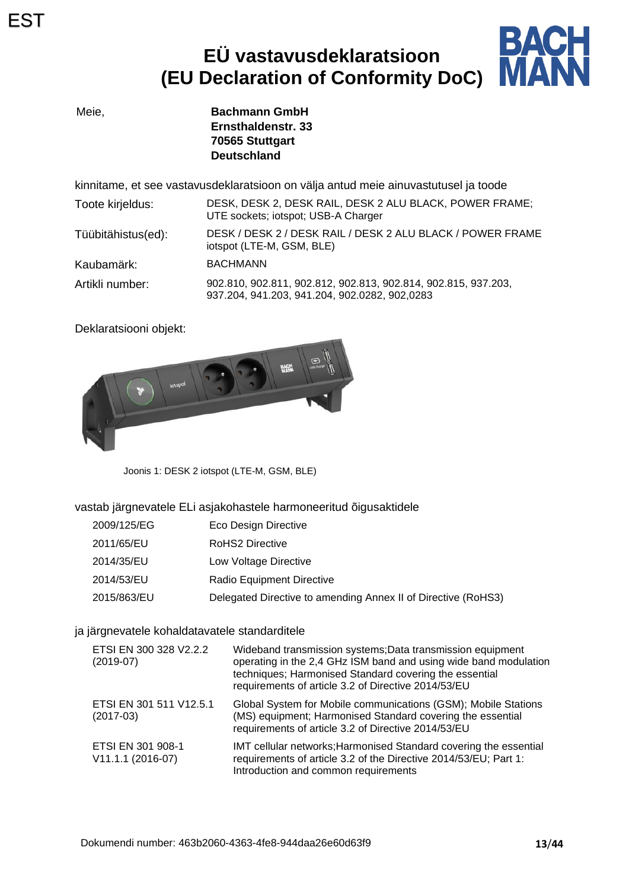# **EÜ vastavusdeklaratsioon (EU Declaration of Conformity DoC)**



Meie, **Bachmann GmbH Ernsthaldenstr. 33 70565 Stuttgart Deutschland**

kinnitame, et see vastavusdeklaratsioon on välja antud meie ainuvastutusel ja toode

| Toote kirjeldus:   | DESK, DESK 2, DESK RAIL, DESK 2 ALU BLACK, POWER FRAME;<br>UTE sockets; iotspot; USB-A Charger                  |
|--------------------|-----------------------------------------------------------------------------------------------------------------|
| Tüübitähistus(ed): | DESK / DESK 2 / DESK RAIL / DESK 2 ALU BLACK / POWER FRAME<br>iotspot (LTE-M, GSM, BLE)                         |
| Kaubamärk:         | <b>BACHMANN</b>                                                                                                 |
| Artikli number:    | 902.810, 902.811, 902.812, 902.813, 902.814, 902.815, 937.203,<br>937.204, 941.203, 941.204, 902.0282, 902,0283 |

Deklaratsiooni objekt:



Joonis 1: DESK 2 iotspot (LTE-M, GSM, BLE)

vastab järgnevatele ELi asjakohastele harmoneeritud õigusaktidele

| 2009/125/EG | Eco Design Directive                                          |
|-------------|---------------------------------------------------------------|
| 2011/65/EU  | RoHS2 Directive                                               |
| 2014/35/EU  | Low Voltage Directive                                         |
| 2014/53/EU  | <b>Radio Equipment Directive</b>                              |
| 2015/863/EU | Delegated Directive to amending Annex II of Directive (RoHS3) |

### ja järgnevatele kohaldatavatele standarditele

| ETSI EN 300 328 V2.2.2<br>$(2019-07)$  | Wideband transmission systems; Data transmission equipment<br>operating in the 2,4 GHz ISM band and using wide band modulation<br>techniques; Harmonised Standard covering the essential<br>requirements of article 3.2 of Directive 2014/53/EU |
|----------------------------------------|-------------------------------------------------------------------------------------------------------------------------------------------------------------------------------------------------------------------------------------------------|
| ETSI EN 301 511 V12.5.1<br>$(2017-03)$ | Global System for Mobile communications (GSM); Mobile Stations<br>(MS) equipment; Harmonised Standard covering the essential<br>requirements of article 3.2 of Directive 2014/53/EU                                                             |
| ETSI EN 301 908-1<br>V11.1.1 (2016-07) | IMT cellular networks; Harmonised Standard covering the essential<br>requirements of article 3.2 of the Directive 2014/53/EU; Part 1:<br>Introduction and common requirements                                                                   |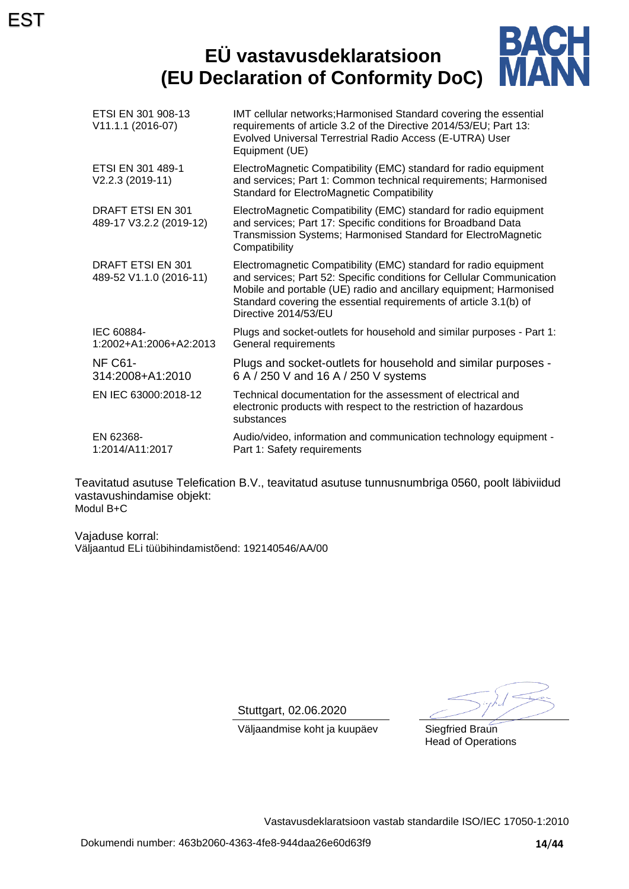### **BACH**<br>MANN **EÜ vastavusdeklaratsioon (EU Declaration of Conformity DoC)**

| ETSI EN 301 908-13<br>V11.1.1 (2016-07)      | IMT cellular networks; Harmonised Standard covering the essential<br>requirements of article 3.2 of the Directive 2014/53/EU; Part 13:<br>Evolved Universal Terrestrial Radio Access (E-UTRA) User<br>Equipment (UE)                                                                                         |
|----------------------------------------------|--------------------------------------------------------------------------------------------------------------------------------------------------------------------------------------------------------------------------------------------------------------------------------------------------------------|
| ETSI EN 301 489-1<br>V2.2.3 (2019-11)        | ElectroMagnetic Compatibility (EMC) standard for radio equipment<br>and services; Part 1: Common technical requirements; Harmonised<br><b>Standard for ElectroMagnetic Compatibility</b>                                                                                                                     |
| DRAFT ETSI EN 301<br>489-17 V3.2.2 (2019-12) | ElectroMagnetic Compatibility (EMC) standard for radio equipment<br>and services; Part 17: Specific conditions for Broadband Data<br>Transmission Systems; Harmonised Standard for ElectroMagnetic<br>Compatibility                                                                                          |
| DRAFT ETSI EN 301<br>489-52 V1.1.0 (2016-11) | Electromagnetic Compatibility (EMC) standard for radio equipment<br>and services; Part 52: Specific conditions for Cellular Communication<br>Mobile and portable (UE) radio and ancillary equipment; Harmonised<br>Standard covering the essential requirements of article 3.1(b) of<br>Directive 2014/53/EU |
| IEC 60884-<br>1:2002+A1:2006+A2:2013         | Plugs and socket-outlets for household and similar purposes - Part 1:<br>General requirements                                                                                                                                                                                                                |
| NF C61-<br>314:2008+A1:2010                  | Plugs and socket-outlets for household and similar purposes -<br>6 A / 250 V and 16 A / 250 V systems                                                                                                                                                                                                        |
| EN IEC 63000:2018-12                         | Technical documentation for the assessment of electrical and<br>electronic products with respect to the restriction of hazardous<br>substances                                                                                                                                                               |
| EN 62368-<br>1:2014/A11:2017                 | Audio/video, information and communication technology equipment -<br>Part 1: Safety requirements                                                                                                                                                                                                             |

Teavitatud asutuse Telefication B.V., teavitatud asutuse tunnusnumbriga 0560, poolt läbiviidud vastavushindamise objekt: Modul B+C

Vajaduse korral: Väljaantud ELi tüübihindamistõend: 192140546/AA/00

Stuttgart, 02.06.2020

Väljaandmise koht ja kuupäev Siegfried Braun Head of Operations

Vastavusdeklaratsioon vastab standardile ISO/IEC 17050-1:2010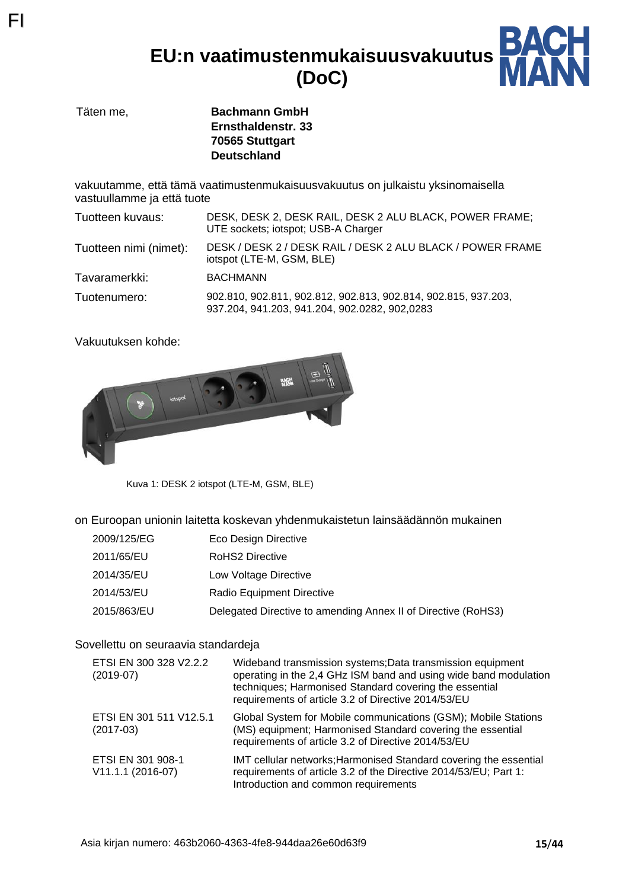**EU:n vaatimustenmukaisuusvakuutus (DoC)**



Täten me, **Bachmann GmbH Ernsthaldenstr. 33 70565 Stuttgart Deutschland**

vakuutamme, että tämä vaatimustenmukaisuusvakuutus on julkaistu yksinomaisella vastuullamme ja että tuote

| Tuotteen kuvaus:       | DESK, DESK 2, DESK RAIL, DESK 2 ALU BLACK, POWER FRAME;<br>UTE sockets; iotspot; USB-A Charger                  |
|------------------------|-----------------------------------------------------------------------------------------------------------------|
| Tuotteen nimi (nimet): | DESK / DESK 2 / DESK RAIL / DESK 2 ALU BLACK / POWER FRAME<br>iotspot (LTE-M, GSM, BLE)                         |
| Tavaramerkki:          | <b>BACHMANN</b>                                                                                                 |
| Tuotenumero:           | 902.810, 902.811, 902.812, 902.813, 902.814, 902.815, 937.203,<br>937.204, 941.203, 941.204, 902.0282, 902,0283 |

Vakuutuksen kohde:

FI



Kuva 1: DESK 2 iotspot (LTE-M, GSM, BLE)

on Euroopan unionin laitetta koskevan yhdenmukaistetun lainsäädännön mukainen

| 2009/125/EG | Eco Design Directive                                          |
|-------------|---------------------------------------------------------------|
| 2011/65/EU  | <b>RoHS2 Directive</b>                                        |
| 2014/35/EU  | Low Voltage Directive                                         |
| 2014/53/EU  | Radio Equipment Directive                                     |
| 2015/863/EU | Delegated Directive to amending Annex II of Directive (RoHS3) |

### Sovellettu on seuraavia standardeja

| ETSI EN 300 328 V2.2.2<br>$(2019-07)$  | Wideband transmission systems; Data transmission equipment<br>operating in the 2,4 GHz ISM band and using wide band modulation<br>techniques; Harmonised Standard covering the essential<br>requirements of article 3.2 of Directive 2014/53/EU |
|----------------------------------------|-------------------------------------------------------------------------------------------------------------------------------------------------------------------------------------------------------------------------------------------------|
| ETSI EN 301 511 V12.5.1<br>$(2017-03)$ | Global System for Mobile communications (GSM); Mobile Stations<br>(MS) equipment; Harmonised Standard covering the essential<br>requirements of article 3.2 of Directive 2014/53/EU                                                             |
| ETSI EN 301 908-1<br>V11.1.1 (2016-07) | IMT cellular networks; Harmonised Standard covering the essential<br>requirements of article 3.2 of the Directive 2014/53/EU; Part 1:<br>Introduction and common requirements                                                                   |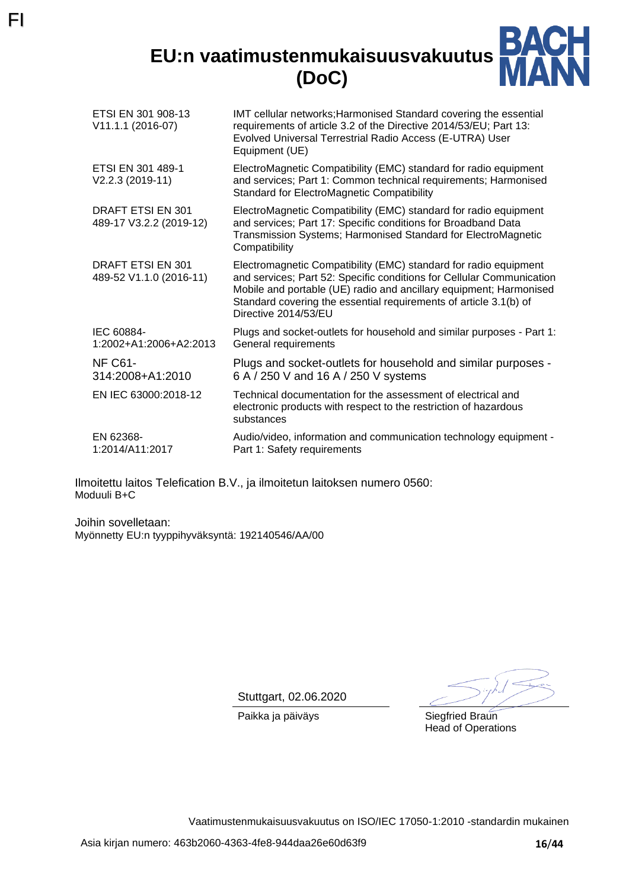**EU:n vaatimustenmukaisuusvakuutus (DoC)**



| ETSI EN 301 908-13<br>V11.1.1 (2016-07)      | IMT cellular networks; Harmonised Standard covering the essential<br>requirements of article 3.2 of the Directive 2014/53/EU; Part 13:<br>Evolved Universal Terrestrial Radio Access (E-UTRA) User<br>Equipment (UE)                                                                                         |
|----------------------------------------------|--------------------------------------------------------------------------------------------------------------------------------------------------------------------------------------------------------------------------------------------------------------------------------------------------------------|
| ETSI EN 301 489-1<br>V2.2.3 (2019-11)        | ElectroMagnetic Compatibility (EMC) standard for radio equipment<br>and services; Part 1: Common technical requirements; Harmonised<br><b>Standard for ElectroMagnetic Compatibility</b>                                                                                                                     |
| DRAFT ETSI EN 301<br>489-17 V3.2.2 (2019-12) | ElectroMagnetic Compatibility (EMC) standard for radio equipment<br>and services; Part 17: Specific conditions for Broadband Data<br>Transmission Systems; Harmonised Standard for ElectroMagnetic<br>Compatibility                                                                                          |
| DRAFT ETSI EN 301<br>489-52 V1.1.0 (2016-11) | Electromagnetic Compatibility (EMC) standard for radio equipment<br>and services; Part 52: Specific conditions for Cellular Communication<br>Mobile and portable (UE) radio and ancillary equipment; Harmonised<br>Standard covering the essential requirements of article 3.1(b) of<br>Directive 2014/53/EU |
| IEC 60884-<br>1:2002+A1:2006+A2:2013         | Plugs and socket-outlets for household and similar purposes - Part 1:<br>General requirements                                                                                                                                                                                                                |
| NF C61-<br>314:2008+A1:2010                  | Plugs and socket-outlets for household and similar purposes -<br>6 A / 250 V and 16 A / 250 V systems                                                                                                                                                                                                        |
| EN IEC 63000:2018-12                         | Technical documentation for the assessment of electrical and<br>electronic products with respect to the restriction of hazardous<br>substances                                                                                                                                                               |
| EN 62368-<br>1:2014/A11:2017                 | Audio/video, information and communication technology equipment -<br>Part 1: Safety requirements                                                                                                                                                                                                             |

Ilmoitettu laitos Telefication B.V., ja ilmoitetun laitoksen numero 0560: Moduuli B+C

Joihin sovelletaan: Myönnetty EU:n tyyppihyväksyntä: 192140546/AA/00

FI

Stuttgart, 02.06.2020

Paikka ja päiväys Siegfried Braun

Head of Operations

Vaatimustenmukaisuusvakuutus on ISO/IEC 17050-1:2010 -standardin mukainen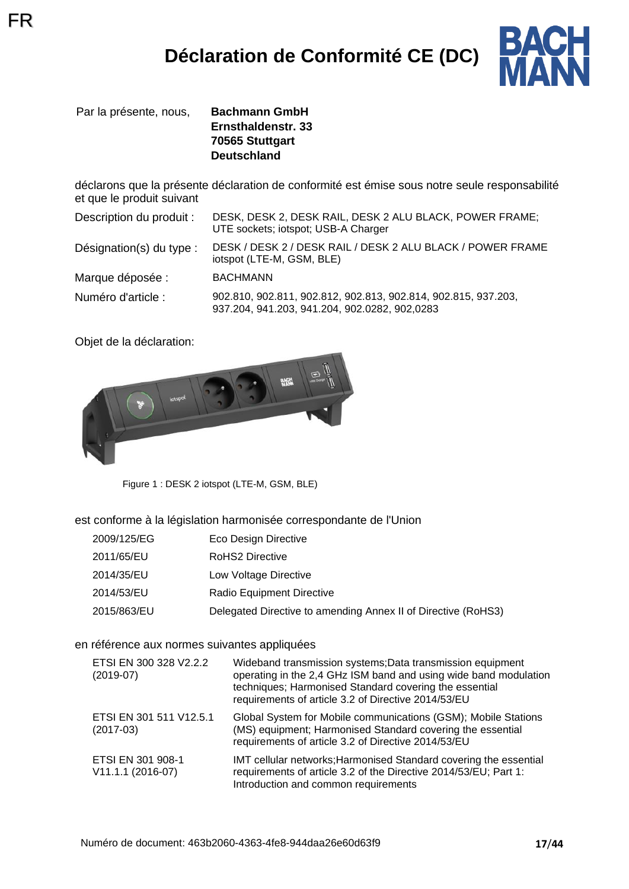

Par la présente, nous, **Bachmann GmbH**

FR

**Ernsthaldenstr. 33 70565 Stuttgart Deutschland**

déclarons que la présente déclaration de conformité est émise sous notre seule responsabilité et que le produit suivant

| Description du produit : | DESK, DESK 2, DESK RAIL, DESK 2 ALU BLACK, POWER FRAME;<br>UTE sockets; iotspot; USB-A Charger                  |
|--------------------------|-----------------------------------------------------------------------------------------------------------------|
| Désignation(s) du type : | DESK / DESK 2 / DESK RAIL / DESK 2 ALU BLACK / POWER FRAME<br>iotspot (LTE-M, GSM, BLE)                         |
| Marque déposée :         | <b>BACHMANN</b>                                                                                                 |
| Numéro d'article :       | 902.810, 902.811, 902.812, 902.813, 902.814, 902.815, 937.203,<br>937.204, 941.203, 941.204, 902.0282, 902,0283 |

Objet de la déclaration:



Figure 1 : DESK 2 iotspot (LTE-M, GSM, BLE)

est conforme à la législation harmonisée correspondante de l'Union

| 2009/125/EG | Eco Design Directive                                          |
|-------------|---------------------------------------------------------------|
| 2011/65/EU  | RoHS2 Directive                                               |
| 2014/35/EU  | Low Voltage Directive                                         |
| 2014/53/EU  | Radio Equipment Directive                                     |
| 2015/863/EU | Delegated Directive to amending Annex II of Directive (RoHS3) |

### en référence aux normes suivantes appliquées

| ETSI EN 300 328 V2.2.2<br>$(2019-07)$  | Wideband transmission systems; Data transmission equipment<br>operating in the 2,4 GHz ISM band and using wide band modulation<br>techniques; Harmonised Standard covering the essential<br>requirements of article 3.2 of Directive 2014/53/EU |
|----------------------------------------|-------------------------------------------------------------------------------------------------------------------------------------------------------------------------------------------------------------------------------------------------|
| ETSI EN 301 511 V12.5.1<br>$(2017-03)$ | Global System for Mobile communications (GSM); Mobile Stations<br>(MS) equipment; Harmonised Standard covering the essential<br>requirements of article 3.2 of Directive 2014/53/EU                                                             |
| ETSI EN 301 908-1<br>V11.1.1 (2016-07) | IMT cellular networks; Harmonised Standard covering the essential<br>requirements of article 3.2 of the Directive 2014/53/EU; Part 1:<br>Introduction and common requirements                                                                   |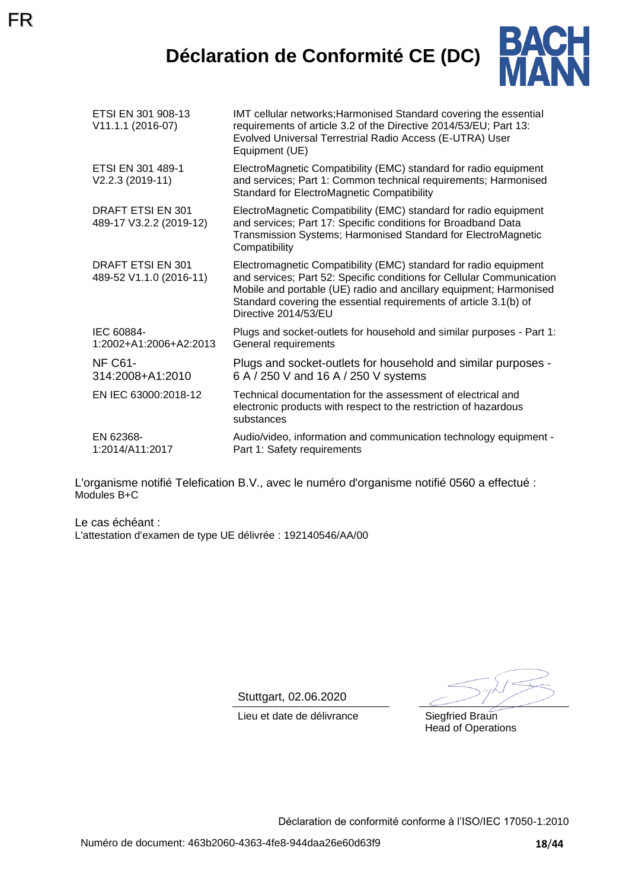## **Déclaration de Conformité CE (DC)**



| ETSI EN 301 908-13<br>V11.1.1 (2016-07)      | IMT cellular networks; Harmonised Standard covering the essential<br>requirements of article 3.2 of the Directive 2014/53/EU; Part 13:<br>Evolved Universal Terrestrial Radio Access (E-UTRA) User<br>Equipment (UE)                                                                                         |
|----------------------------------------------|--------------------------------------------------------------------------------------------------------------------------------------------------------------------------------------------------------------------------------------------------------------------------------------------------------------|
| ETSI EN 301 489-1<br>V2.2.3 (2019-11)        | ElectroMagnetic Compatibility (EMC) standard for radio equipment<br>and services; Part 1: Common technical requirements; Harmonised<br><b>Standard for ElectroMagnetic Compatibility</b>                                                                                                                     |
| DRAFT ETSI EN 301<br>489-17 V3.2.2 (2019-12) | ElectroMagnetic Compatibility (EMC) standard for radio equipment<br>and services; Part 17: Specific conditions for Broadband Data<br>Transmission Systems; Harmonised Standard for ElectroMagnetic<br>Compatibility                                                                                          |
| DRAFT ETSI EN 301<br>489-52 V1.1.0 (2016-11) | Electromagnetic Compatibility (EMC) standard for radio equipment<br>and services; Part 52: Specific conditions for Cellular Communication<br>Mobile and portable (UE) radio and ancillary equipment; Harmonised<br>Standard covering the essential requirements of article 3.1(b) of<br>Directive 2014/53/EU |
| IEC 60884-<br>1:2002+A1:2006+A2:2013         | Plugs and socket-outlets for household and similar purposes - Part 1:<br>General requirements                                                                                                                                                                                                                |
| <b>NF C61-</b><br>314:2008+A1:2010           | Plugs and socket-outlets for household and similar purposes -<br>6 A / 250 V and 16 A / 250 V systems                                                                                                                                                                                                        |
| EN IEC 63000:2018-12                         | Technical documentation for the assessment of electrical and<br>electronic products with respect to the restriction of hazardous<br>substances                                                                                                                                                               |
| EN 62368-<br>1:2014/A11:2017                 | Audio/video, information and communication technology equipment -<br>Part 1: Safety requirements                                                                                                                                                                                                             |

L'organisme notifié Telefication B.V., avec le numéro d'organisme notifié 0560 a effectué : Modules B+C

Le cas échéant : L'attestation d'examen de type UE délivrée : 192140546/AA/00

Stuttgart, 02.06.2020

Lieu et date de délivrance Siegfried Braun

Head of Operations

Déclaration de conformité conforme à l'ISO/IEC 17050-1:2010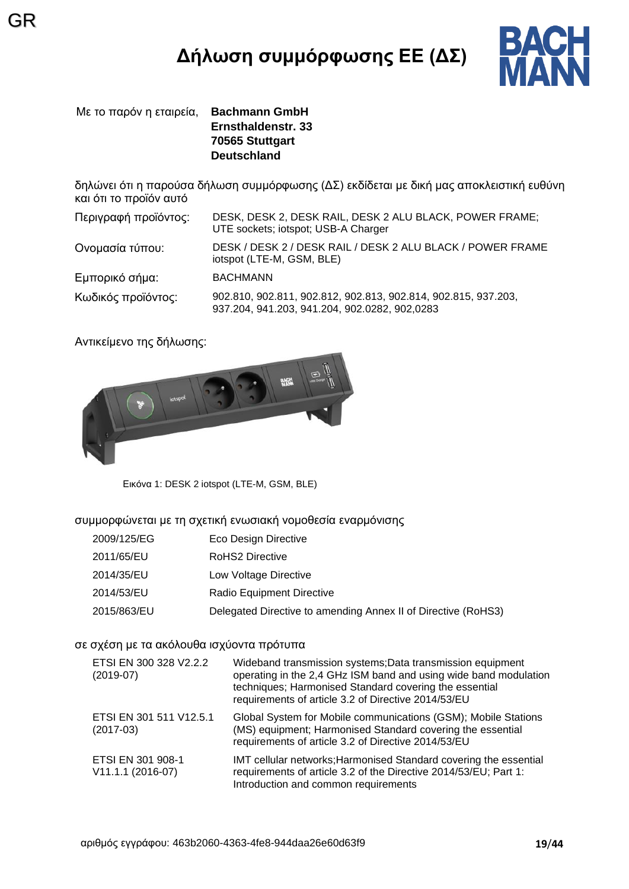# **Δήλωση συμμόρφωσης ΕΕ (ΔΣ)**



Με το παρόν η εταιρεία, **Bachmann GmbH Ernsthaldenstr. 33 70565 Stuttgart Deutschland**

GR

δηλώνει ότι η παρούσα δήλωση συμμόρφωσης (ΔΣ) εκδίδεται με δική μας αποκλειστική ευθύνη και ότι το προϊόν αυτό

| Περιγραφή προϊόντος: | DESK, DESK 2, DESK RAIL, DESK 2 ALU BLACK, POWER FRAME;<br>UTE sockets; iotspot; USB-A Charger                  |
|----------------------|-----------------------------------------------------------------------------------------------------------------|
| Ονομασία τύπου:      | DESK / DESK 2 / DESK RAIL / DESK 2 ALU BLACK / POWER FRAME<br>iotspot (LTE-M, GSM, BLE)                         |
| Εμπορικό σήμα:       | <b>BACHMANN</b>                                                                                                 |
| Κωδικός προϊόντος:   | 902.810, 902.811, 902.812, 902.813, 902.814, 902.815, 937.203,<br>937.204, 941.203, 941.204, 902.0282, 902,0283 |

Αντικείμενο της δήλωσης:



Εικόνα 1: DESK 2 iotspot (LTE-M, GSM, BLE)

συμμορφώνεται με τη σχετική ενωσιακή νομοθεσία εναρμόνισης

| 2009/125/EG | Eco Design Directive                                          |
|-------------|---------------------------------------------------------------|
| 2011/65/EU  | <b>RoHS2 Directive</b>                                        |
| 2014/35/EU  | Low Voltage Directive                                         |
| 2014/53/EU  | Radio Equipment Directive                                     |
| 2015/863/EU | Delegated Directive to amending Annex II of Directive (RoHS3) |

### σε σχέση με τα ακόλουθα ισχύοντα πρότυπα

| ETSI EN 300 328 V2.2.2<br>$(2019-07)$    | Wideband transmission systems; Data transmission equipment<br>operating in the 2,4 GHz ISM band and using wide band modulation<br>techniques; Harmonised Standard covering the essential<br>requirements of article 3.2 of Directive 2014/53/EU |
|------------------------------------------|-------------------------------------------------------------------------------------------------------------------------------------------------------------------------------------------------------------------------------------------------|
| ETSI EN 301 511 V12.5.1<br>$(2017-03)$   | Global System for Mobile communications (GSM); Mobile Stations<br>(MS) equipment; Harmonised Standard covering the essential<br>requirements of article 3.2 of Directive 2014/53/EU                                                             |
| ETSI EN 301 908-1<br>$V11.1.1 (2016-07)$ | IMT cellular networks; Harmonised Standard covering the essential<br>requirements of article 3.2 of the Directive 2014/53/EU; Part 1:<br>Introduction and common requirements                                                                   |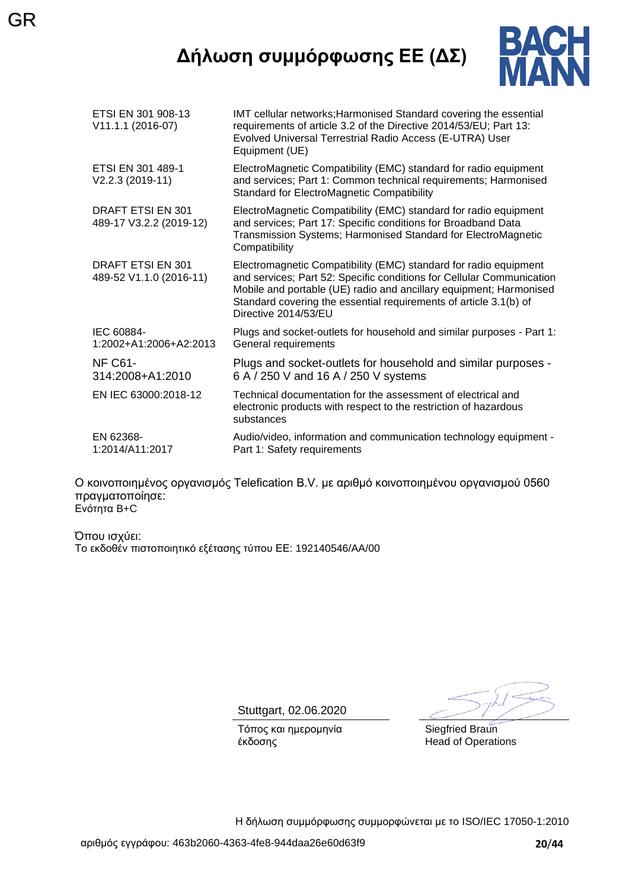## **Δήλωση συμμόρφωσης ΕΕ (ΔΣ)**

GR



| ETSI EN 301 908-13<br>V11.1.1 (2016-07)      | IMT cellular networks; Harmonised Standard covering the essential<br>requirements of article 3.2 of the Directive 2014/53/EU; Part 13:<br>Evolved Universal Terrestrial Radio Access (E-UTRA) User<br>Equipment (UE)                                                                                         |
|----------------------------------------------|--------------------------------------------------------------------------------------------------------------------------------------------------------------------------------------------------------------------------------------------------------------------------------------------------------------|
| ETSI EN 301 489-1<br>V2.2.3 (2019-11)        | ElectroMagnetic Compatibility (EMC) standard for radio equipment<br>and services; Part 1: Common technical requirements; Harmonised<br>Standard for ElectroMagnetic Compatibility                                                                                                                            |
| DRAFT ETSI EN 301<br>489-17 V3.2.2 (2019-12) | ElectroMagnetic Compatibility (EMC) standard for radio equipment<br>and services; Part 17: Specific conditions for Broadband Data<br>Transmission Systems; Harmonised Standard for ElectroMagnetic<br>Compatibility                                                                                          |
| DRAFT ETSI EN 301<br>489-52 V1.1.0 (2016-11) | Electromagnetic Compatibility (EMC) standard for radio equipment<br>and services; Part 52: Specific conditions for Cellular Communication<br>Mobile and portable (UE) radio and ancillary equipment; Harmonised<br>Standard covering the essential requirements of article 3.1(b) of<br>Directive 2014/53/EU |
| IEC 60884-<br>1:2002+A1:2006+A2:2013         | Plugs and socket-outlets for household and similar purposes - Part 1:<br>General requirements                                                                                                                                                                                                                |
| NF C61-<br>314:2008+A1:2010                  | Plugs and socket-outlets for household and similar purposes -<br>6 A / 250 V and 16 A / 250 V systems                                                                                                                                                                                                        |
| EN IEC 63000:2018-12                         | Technical documentation for the assessment of electrical and<br>electronic products with respect to the restriction of hazardous<br>substances                                                                                                                                                               |
| EN 62368-<br>1:2014/A11:2017                 | Audio/video, information and communication technology equipment -<br>Part 1: Safety requirements                                                                                                                                                                                                             |

Ο κοινοποιημένος οργανισμός Telefication B.V. με αριθμό κοινοποιημένου οργανισμού 0560 πραγματοποίησε: Ενότητα B+C

Όπου ισχύει: Το εκδοθέν πιστοποιητικό εξέτασης τύπου ΕΕ: 192140546/AA/00

Stuttgart, 02.06.2020

Τόπος και ημερομηνία έκδοσης

Siegfried Braun Head of Operations

Η δήλωση συμμόρφωσης συμμορφώνεται με το ISO/IEC 17050-1:2010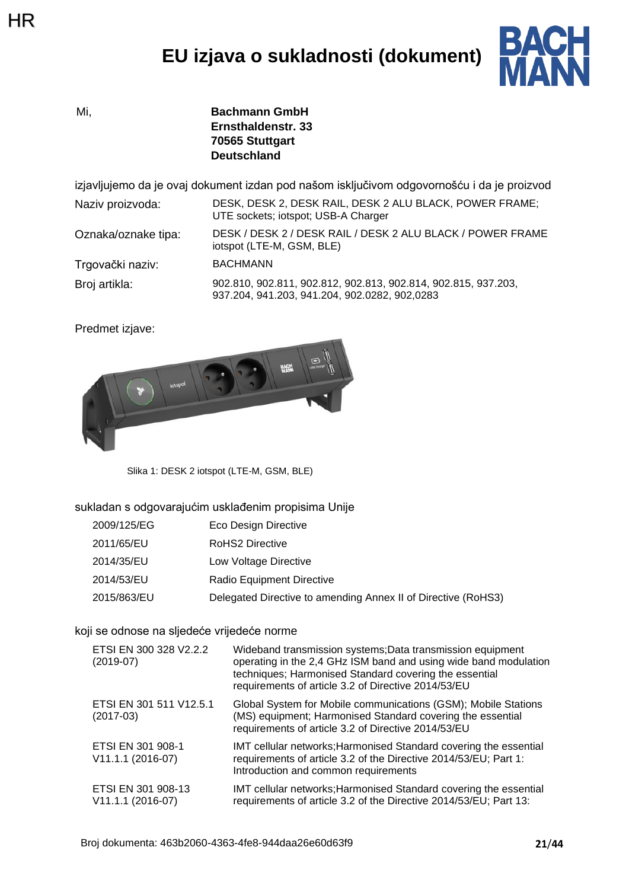# **EU izjava o sukladnosti (dokument)**



Mi, **Bachmann GmbH Ernsthaldenstr. 33 70565 Stuttgart Deutschland**

izjavljujemo da je ovaj dokument izdan pod našom isključivom odgovornošću i da je proizvod Naziv proizvoda: DESK, DESK 2, DESK RAIL, DESK 2 ALU BLACK, POWER FRAME;

| Naziv proizvoda:    | DESK, DESK Z. DESK RAIL, DESK Z ALU BLACK, POWER FRAME,<br>UTE sockets; iotspot; USB-A Charger |
|---------------------|------------------------------------------------------------------------------------------------|
| Oznaka/oznake tipa: | DESK / DESK 2 / DESK RAIL / DESK 2 ALU BLACK / POWER FRAME<br>iotspot (LTE-M, GSM, BLE)        |
| Trgovački naziv:    | BACHMANN                                                                                       |

Broj artikla: 902.810, 902.811, 902.812, 902.813, 902.814, 902.815, 937.203, 937.204, 941.203, 941.204, 902.0282, 902,0283

Predmet izjave:



Slika 1: DESK 2 iotspot (LTE-M, GSM, BLE)

sukladan s odgovarajućim usklađenim propisima Unije

| 2009/125/EG | Eco Design Directive                                          |
|-------------|---------------------------------------------------------------|
| 2011/65/EU  | RoHS2 Directive                                               |
| 2014/35/EU  | Low Voltage Directive                                         |
| 2014/53/EU  | Radio Equipment Directive                                     |
| 2015/863/EU | Delegated Directive to amending Annex II of Directive (RoHS3) |

koji se odnose na sljedeće vrijedeće norme

| ETSI EN 300 328 V2.2.2<br>$(2019-07)$   | Wideband transmission systems; Data transmission equipment<br>operating in the 2,4 GHz ISM band and using wide band modulation<br>techniques; Harmonised Standard covering the essential<br>requirements of article 3.2 of Directive 2014/53/EU |
|-----------------------------------------|-------------------------------------------------------------------------------------------------------------------------------------------------------------------------------------------------------------------------------------------------|
| ETSI EN 301 511 V12.5.1<br>$(2017-03)$  | Global System for Mobile communications (GSM); Mobile Stations<br>(MS) equipment; Harmonised Standard covering the essential<br>requirements of article 3.2 of Directive 2014/53/EU                                                             |
| ETSI EN 301 908-1<br>V11.1.1 (2016-07)  | IMT cellular networks; Harmonised Standard covering the essential<br>requirements of article 3.2 of the Directive 2014/53/EU; Part 1:<br>Introduction and common requirements                                                                   |
| ETSI EN 301 908-13<br>V11.1.1 (2016-07) | IMT cellular networks; Harmonised Standard covering the essential<br>requirements of article 3.2 of the Directive 2014/53/EU; Part 13:                                                                                                          |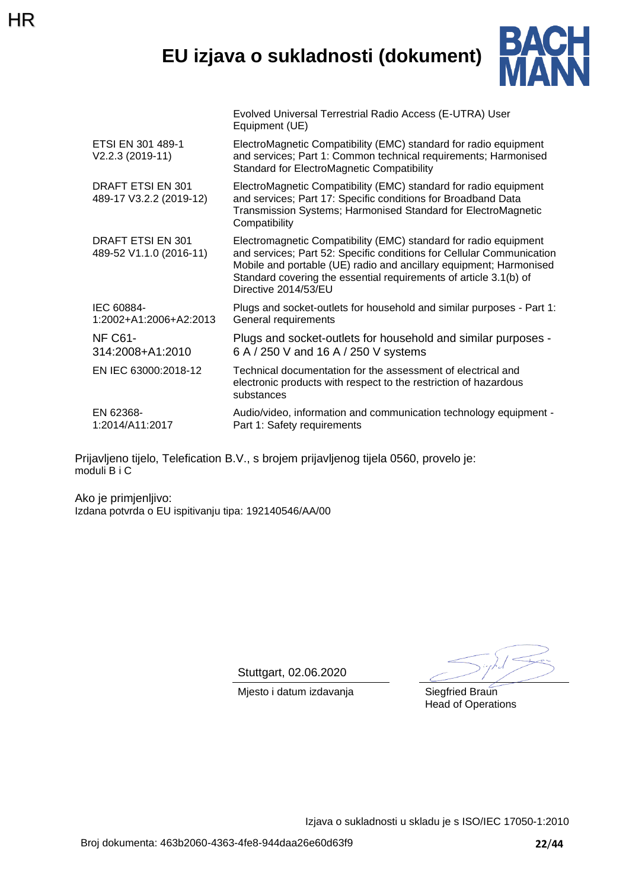## **EU izjava o sukladnosti (dokument)**

Evolved Universal Terrestrial Radio Access (E-UTRA) User



|                                              | Equipment (UE)                                                                                                                                                                                                                                                                                               |
|----------------------------------------------|--------------------------------------------------------------------------------------------------------------------------------------------------------------------------------------------------------------------------------------------------------------------------------------------------------------|
| ETSI EN 301 489-1<br>V2.2.3 (2019-11)        | ElectroMagnetic Compatibility (EMC) standard for radio equipment<br>and services; Part 1: Common technical requirements; Harmonised<br><b>Standard for ElectroMagnetic Compatibility</b>                                                                                                                     |
| DRAFT ETSI EN 301<br>489-17 V3.2.2 (2019-12) | ElectroMagnetic Compatibility (EMC) standard for radio equipment<br>and services; Part 17: Specific conditions for Broadband Data<br>Transmission Systems; Harmonised Standard for ElectroMagnetic<br>Compatibility                                                                                          |
| DRAFT ETSI EN 301<br>489-52 V1.1.0 (2016-11) | Electromagnetic Compatibility (EMC) standard for radio equipment<br>and services; Part 52: Specific conditions for Cellular Communication<br>Mobile and portable (UE) radio and ancillary equipment; Harmonised<br>Standard covering the essential requirements of article 3.1(b) of<br>Directive 2014/53/EU |
| IEC 60884-<br>1:2002+A1:2006+A2:2013         | Plugs and socket-outlets for household and similar purposes - Part 1:<br>General requirements                                                                                                                                                                                                                |
| <b>NF C61-</b><br>314:2008+A1:2010           | Plugs and socket-outlets for household and similar purposes -<br>6 A / 250 V and 16 A / 250 V systems                                                                                                                                                                                                        |
| EN IEC 63000:2018-12                         | Technical documentation for the assessment of electrical and<br>electronic products with respect to the restriction of hazardous<br>substances                                                                                                                                                               |
| EN 62368-<br>1:2014/A11:2017                 | Audio/video, information and communication technology equipment -<br>Part 1: Safety requirements                                                                                                                                                                                                             |
|                                              |                                                                                                                                                                                                                                                                                                              |

Prijavljeno tijelo, Telefication B.V., s brojem prijavljenog tijela 0560, provelo je: moduli B i C

Ako je primjenljivo: Izdana potvrda o EU ispitivanju tipa: 192140546/AA/00

HR

Stuttgart, 02.06.2020

Mjesto i datum izdavanja **Siegfried Braun** 

Head of Operations

Izjava o sukladnosti u skladu je s ISO/IEC 17050-1:2010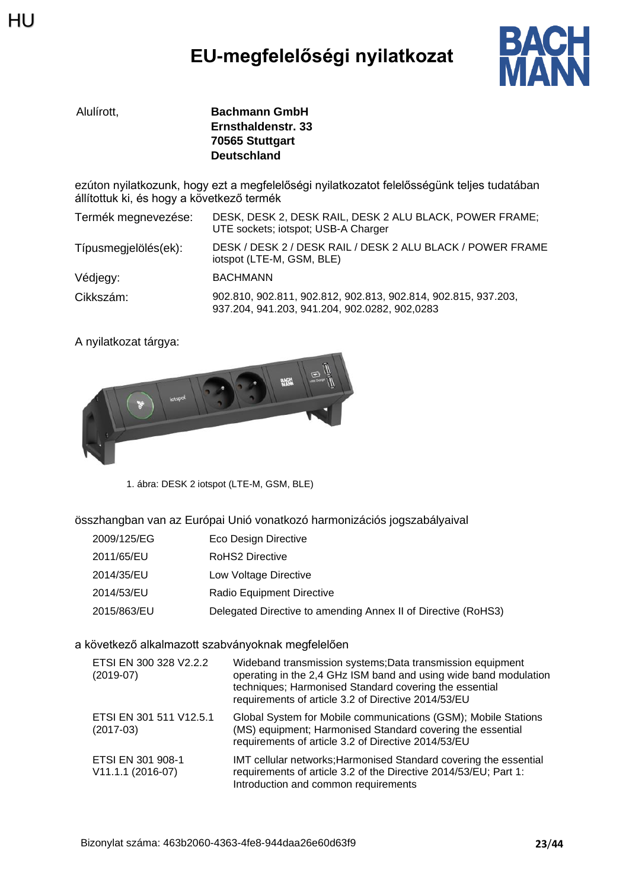# **EU-megfelelőségi nyilatkozat**



| Alulírott. | <b>Bachmann GmbH</b> |
|------------|----------------------|
|            | Ernsthaldenstr. 33   |
|            | 70565 Stuttgart      |
|            | <b>Deutschland</b>   |

ezúton nyilatkozunk, hogy ezt a megfelelőségi nyilatkozatot felelősségünk teljes tudatában állítottuk ki, és hogy a következő termék

| Termék megnevezése:  | DESK, DESK 2, DESK RAIL, DESK 2 ALU BLACK, POWER FRAME;<br>UTE sockets; iotspot; USB-A Charger                  |
|----------------------|-----------------------------------------------------------------------------------------------------------------|
| Típusmegjelölés(ek): | DESK / DESK 2 / DESK RAIL / DESK 2 ALU BLACK / POWER FRAME<br>iotspot (LTE-M, GSM, BLE)                         |
| Védjegy:             | <b>BACHMANN</b>                                                                                                 |
| Cikkszám:            | 902.810, 902.811, 902.812, 902.813, 902.814, 902.815, 937.203,<br>937.204, 941.203, 941.204, 902.0282, 902,0283 |

A nyilatkozat tárgya:



1. ábra: DESK 2 iotspot (LTE-M, GSM, BLE)

összhangban van az Európai Unió vonatkozó harmonizációs jogszabályaival

| 2009/125/EG | Eco Design Directive                                          |
|-------------|---------------------------------------------------------------|
| 2011/65/EU  | <b>RoHS2 Directive</b>                                        |
| 2014/35/EU  | Low Voltage Directive                                         |
| 2014/53/EU  | Radio Equipment Directive                                     |
| 2015/863/EU | Delegated Directive to amending Annex II of Directive (RoHS3) |

### a következő alkalmazott szabványoknak megfelelően

| ETSI EN 300 328 V2.2.2<br>$(2019-07)$  | Wideband transmission systems; Data transmission equipment<br>operating in the 2,4 GHz ISM band and using wide band modulation<br>techniques; Harmonised Standard covering the essential<br>requirements of article 3.2 of Directive 2014/53/EU |
|----------------------------------------|-------------------------------------------------------------------------------------------------------------------------------------------------------------------------------------------------------------------------------------------------|
| ETSI EN 301 511 V12.5.1<br>$(2017-03)$ | Global System for Mobile communications (GSM); Mobile Stations<br>(MS) equipment; Harmonised Standard covering the essential<br>requirements of article 3.2 of Directive 2014/53/EU                                                             |
| ETSI EN 301 908-1<br>V11.1.1 (2016-07) | IMT cellular networks; Harmonised Standard covering the essential<br>requirements of article 3.2 of the Directive 2014/53/EU; Part 1:<br>Introduction and common requirements                                                                   |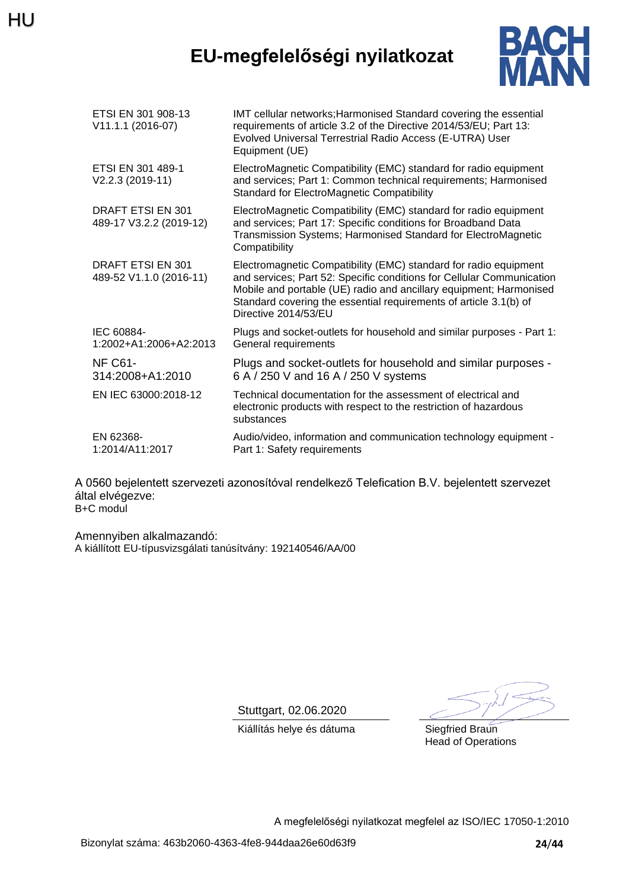## **EU-megfelelőségi nyilatkozat**



| ETSI EN 301 908-13<br>V11.1.1 (2016-07)      | IMT cellular networks; Harmonised Standard covering the essential<br>requirements of article 3.2 of the Directive 2014/53/EU; Part 13:<br>Evolved Universal Terrestrial Radio Access (E-UTRA) User<br>Equipment (UE)                                                                                         |
|----------------------------------------------|--------------------------------------------------------------------------------------------------------------------------------------------------------------------------------------------------------------------------------------------------------------------------------------------------------------|
| ETSI EN 301 489-1<br>V2.2.3 (2019-11)        | ElectroMagnetic Compatibility (EMC) standard for radio equipment<br>and services; Part 1: Common technical requirements; Harmonised<br>Standard for ElectroMagnetic Compatibility                                                                                                                            |
| DRAFT ETSI EN 301<br>489-17 V3.2.2 (2019-12) | ElectroMagnetic Compatibility (EMC) standard for radio equipment<br>and services; Part 17: Specific conditions for Broadband Data<br>Transmission Systems; Harmonised Standard for ElectroMagnetic<br>Compatibility                                                                                          |
| DRAFT ETSI EN 301<br>489-52 V1.1.0 (2016-11) | Electromagnetic Compatibility (EMC) standard for radio equipment<br>and services; Part 52: Specific conditions for Cellular Communication<br>Mobile and portable (UE) radio and ancillary equipment; Harmonised<br>Standard covering the essential requirements of article 3.1(b) of<br>Directive 2014/53/EU |
| IEC 60884-<br>1:2002+A1:2006+A2:2013         | Plugs and socket-outlets for household and similar purposes - Part 1:<br>General requirements                                                                                                                                                                                                                |
| <b>NF C61-</b><br>314:2008+A1:2010           | Plugs and socket-outlets for household and similar purposes -<br>6 A / 250 V and 16 A / 250 V systems                                                                                                                                                                                                        |
| EN IEC 63000:2018-12                         | Technical documentation for the assessment of electrical and<br>electronic products with respect to the restriction of hazardous<br>substances                                                                                                                                                               |
| EN 62368-<br>1:2014/A11:2017                 | Audio/video, information and communication technology equipment -<br>Part 1: Safety requirements                                                                                                                                                                                                             |

A 0560 bejelentett szervezeti azonosítóval rendelkező Telefication B.V. bejelentett szervezet által elvégezve: B+C modul

Amennyiben alkalmazandó: A kiállított EU-típusvizsgálati tanúsítvány: 192140546/AA/00

Stuttgart, 02.06.2020

Kiállítás helye és dátuma **Siegfried Braun** 

Head of Operations

A megfelelőségi nyilatkozat megfelel az ISO/IEC 17050-1:2010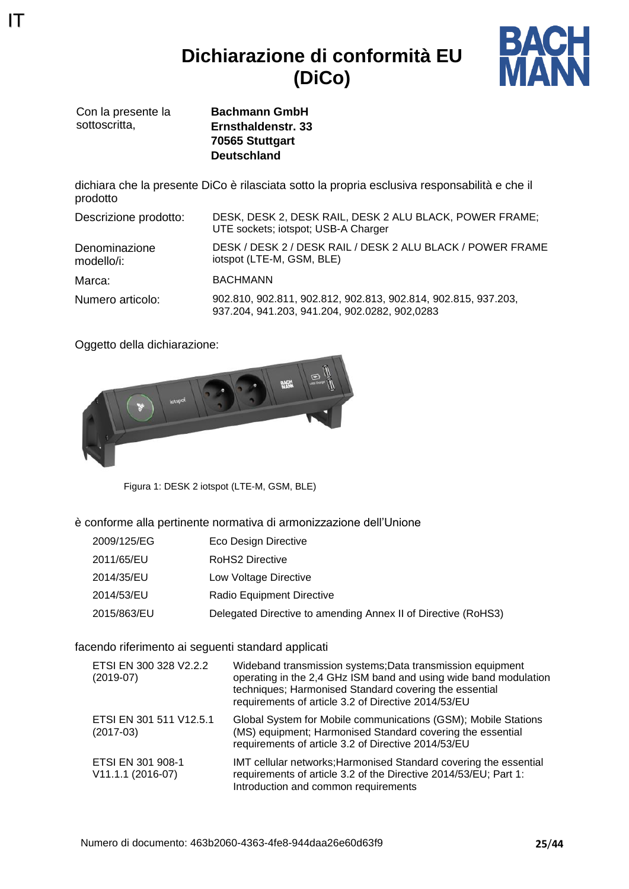**Dichiarazione di conformità EU (DiCo)**



Con la presente la sottoscritta.

IT

**Bachmann GmbH Ernsthaldenstr. 33 70565 Stuttgart Deutschland**

dichiara che la presente DiCo è rilasciata sotto la propria esclusiva responsabilità e che il prodotto

| Descrizione prodotto:       | DESK, DESK 2, DESK RAIL, DESK 2 ALU BLACK, POWER FRAME;<br>UTE sockets; iotspot; USB-A Charger                  |
|-----------------------------|-----------------------------------------------------------------------------------------------------------------|
| Denominazione<br>modello/i: | DESK / DESK 2 / DESK RAIL / DESK 2 ALU BLACK / POWER FRAME<br>iotspot (LTE-M, GSM, BLE)                         |
| Marca:                      | <b>BACHMANN</b>                                                                                                 |
| Numero articolo:            | 902.810, 902.811, 902.812, 902.813, 902.814, 902.815, 937.203,<br>937.204, 941.203, 941.204, 902.0282, 902,0283 |

Oggetto della dichiarazione:



Figura 1: DESK 2 iotspot (LTE-M, GSM, BLE)

è conforme alla pertinente normativa di armonizzazione dell'Unione

| 2009/125/EG | Eco Design Directive                                          |
|-------------|---------------------------------------------------------------|
| 2011/65/EU  | <b>RoHS2 Directive</b>                                        |
| 2014/35/EU  | Low Voltage Directive                                         |
| 2014/53/EU  | Radio Equipment Directive                                     |
| 2015/863/EU | Delegated Directive to amending Annex II of Directive (RoHS3) |

facendo riferimento ai seguenti standard applicati

| ETSI EN 300 328 V2.2.2<br>$(2019-07)$  | Wideband transmission systems; Data transmission equipment<br>operating in the 2,4 GHz ISM band and using wide band modulation<br>techniques; Harmonised Standard covering the essential<br>requirements of article 3.2 of Directive 2014/53/EU |
|----------------------------------------|-------------------------------------------------------------------------------------------------------------------------------------------------------------------------------------------------------------------------------------------------|
| ETSI EN 301 511 V12.5.1<br>$(2017-03)$ | Global System for Mobile communications (GSM); Mobile Stations<br>(MS) equipment; Harmonised Standard covering the essential<br>requirements of article 3.2 of Directive 2014/53/EU                                                             |
| ETSI EN 301 908-1<br>V11.1.1 (2016-07) | IMT cellular networks; Harmonised Standard covering the essential<br>requirements of article 3.2 of the Directive 2014/53/EU; Part 1:<br>Introduction and common requirements                                                                   |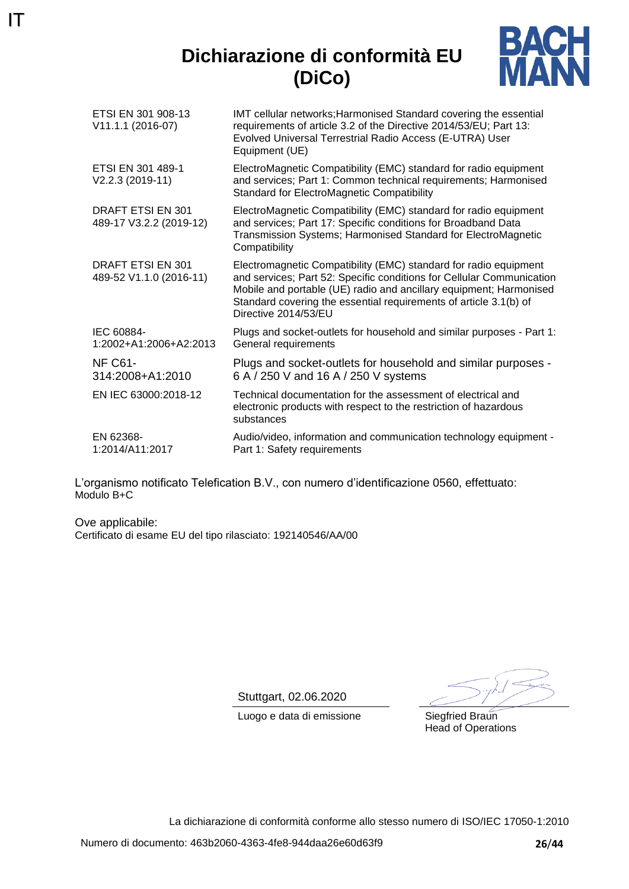## **Dichiarazione di conformità EU (DiCo)**



| ETSI EN 301 908-13<br>V11.1.1 (2016-07)      | IMT cellular networks; Harmonised Standard covering the essential<br>requirements of article 3.2 of the Directive 2014/53/EU; Part 13:<br>Evolved Universal Terrestrial Radio Access (E-UTRA) User<br>Equipment (UE)                                                                                         |
|----------------------------------------------|--------------------------------------------------------------------------------------------------------------------------------------------------------------------------------------------------------------------------------------------------------------------------------------------------------------|
| ETSI EN 301 489-1<br>V2.2.3 (2019-11)        | ElectroMagnetic Compatibility (EMC) standard for radio equipment<br>and services; Part 1: Common technical requirements; Harmonised<br><b>Standard for ElectroMagnetic Compatibility</b>                                                                                                                     |
| DRAFT ETSI EN 301<br>489-17 V3.2.2 (2019-12) | ElectroMagnetic Compatibility (EMC) standard for radio equipment<br>and services; Part 17: Specific conditions for Broadband Data<br>Transmission Systems; Harmonised Standard for ElectroMagnetic<br>Compatibility                                                                                          |
| DRAFT ETSI EN 301<br>489-52 V1.1.0 (2016-11) | Electromagnetic Compatibility (EMC) standard for radio equipment<br>and services; Part 52: Specific conditions for Cellular Communication<br>Mobile and portable (UE) radio and ancillary equipment; Harmonised<br>Standard covering the essential requirements of article 3.1(b) of<br>Directive 2014/53/EU |
| IEC 60884-<br>1:2002+A1:2006+A2:2013         | Plugs and socket-outlets for household and similar purposes - Part 1:<br>General requirements                                                                                                                                                                                                                |
| <b>NF C61-</b><br>314:2008+A1:2010           | Plugs and socket-outlets for household and similar purposes -<br>6 A / 250 V and 16 A / 250 V systems                                                                                                                                                                                                        |
| EN IEC 63000:2018-12                         | Technical documentation for the assessment of electrical and<br>electronic products with respect to the restriction of hazardous<br>substances                                                                                                                                                               |
| EN 62368-<br>1:2014/A11:2017                 | Audio/video, information and communication technology equipment -<br>Part 1: Safety requirements                                                                                                                                                                                                             |

L'organismo notificato Telefication B.V., con numero d'identificazione 0560, effettuato: Modulo B+C

Ove applicabile: Certificato di esame EU del tipo rilasciato: 192140546/AA/00

IT

Stuttgart, 02.06.2020

Luogo e data di emissione Siegfried Braun

Head of Operations

La dichiarazione di conformità conforme allo stesso numero di ISO/IEC 17050-1:2010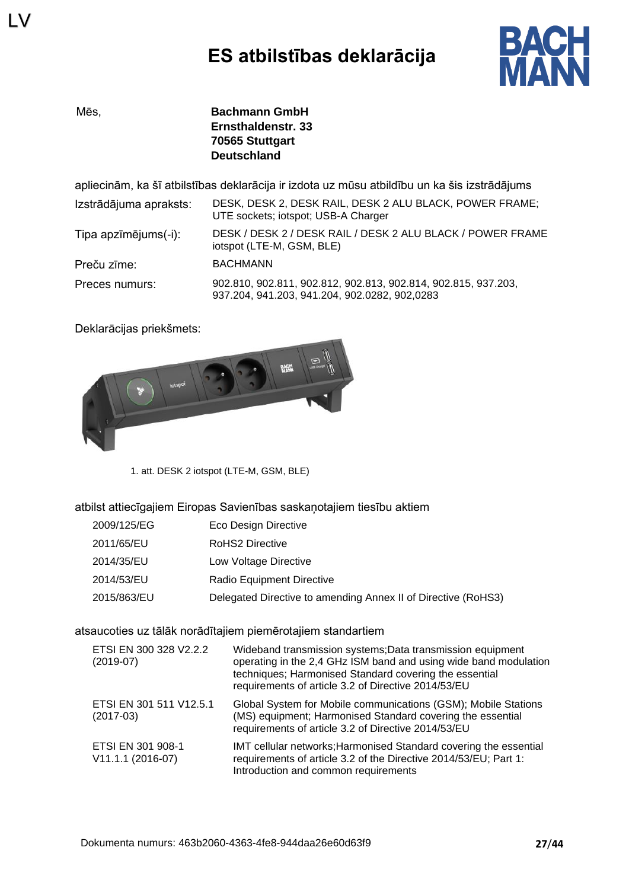

LV

Mēs, **Bachmann GmbH Ernsthaldenstr. 33 70565 Stuttgart Deutschland**

apliecinām, ka šī atbilstības deklarācija ir izdota uz mūsu atbildību un ka šis izstrādājums

| Izstrādājuma apraksts: | DESK, DESK 2, DESK RAIL, DESK 2 ALU BLACK, POWER FRAME;<br>UTE sockets; iotspot; USB-A Charger                  |
|------------------------|-----------------------------------------------------------------------------------------------------------------|
| Tipa apzīmējums(-i):   | DESK / DESK 2 / DESK RAIL / DESK 2 ALU BLACK / POWER FRAME<br>iotspot (LTE-M, GSM, BLE)                         |
| Preču zīme:            | <b>BACHMANN</b>                                                                                                 |
| Preces numurs:         | 902.810, 902.811, 902.812, 902.813, 902.814, 902.815, 937.203,<br>937.204, 941.203, 941.204, 902.0282, 902,0283 |

Deklarācijas priekšmets:



1. att. DESK 2 iotspot (LTE-M, GSM, BLE)

atbilst attiecīgajiem Eiropas Savienības saskaņotajiem tiesību aktiem

| 2009/125/EG | Eco Design Directive                                          |
|-------------|---------------------------------------------------------------|
| 2011/65/EU  | <b>RoHS2 Directive</b>                                        |
| 2014/35/EU  | Low Voltage Directive                                         |
| 2014/53/EU  | Radio Equipment Directive                                     |
| 2015/863/EU | Delegated Directive to amending Annex II of Directive (RoHS3) |

#### atsaucoties uz tālāk norādītajiem piemērotajiem standartiem

| ETSI EN 300 328 V2.2.2<br>$(2019-07)$  | Wideband transmission systems; Data transmission equipment<br>operating in the 2,4 GHz ISM band and using wide band modulation<br>techniques; Harmonised Standard covering the essential<br>requirements of article 3.2 of Directive 2014/53/EU |
|----------------------------------------|-------------------------------------------------------------------------------------------------------------------------------------------------------------------------------------------------------------------------------------------------|
| ETSI EN 301 511 V12.5.1<br>$(2017-03)$ | Global System for Mobile communications (GSM); Mobile Stations<br>(MS) equipment; Harmonised Standard covering the essential<br>requirements of article 3.2 of Directive 2014/53/EU                                                             |
| ETSI EN 301 908-1<br>V11.1.1 (2016-07) | IMT cellular networks; Harmonised Standard covering the essential<br>requirements of article 3.2 of the Directive 2014/53/EU; Part 1:<br>Introduction and common requirements                                                                   |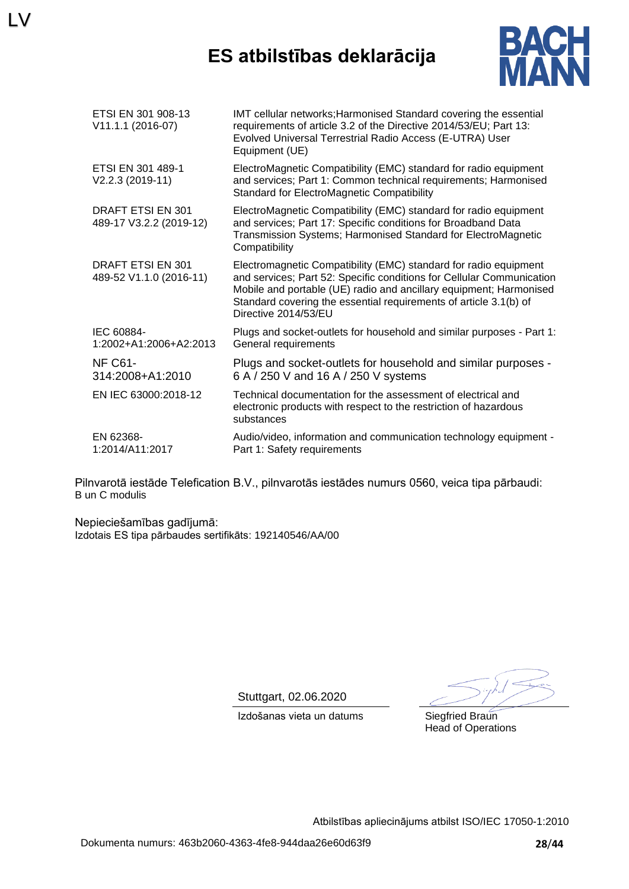## **ES atbilstības deklarācija**



| ETSI EN 301 908-13<br>V11.1.1 (2016-07)             | IMT cellular networks; Harmonised Standard covering the essential<br>requirements of article 3.2 of the Directive 2014/53/EU; Part 13:<br>Evolved Universal Terrestrial Radio Access (E-UTRA) User<br>Equipment (UE)                                                                                         |
|-----------------------------------------------------|--------------------------------------------------------------------------------------------------------------------------------------------------------------------------------------------------------------------------------------------------------------------------------------------------------------|
| ETSI EN 301 489-1<br>V2.2.3 (2019-11)               | ElectroMagnetic Compatibility (EMC) standard for radio equipment<br>and services; Part 1: Common technical requirements; Harmonised<br>Standard for ElectroMagnetic Compatibility                                                                                                                            |
| <b>DRAFT ETSI EN 301</b><br>489-17 V3.2.2 (2019-12) | ElectroMagnetic Compatibility (EMC) standard for radio equipment<br>and services; Part 17: Specific conditions for Broadband Data<br>Transmission Systems; Harmonised Standard for ElectroMagnetic<br>Compatibility                                                                                          |
| <b>DRAFT ETSI EN 301</b><br>489-52 V1.1.0 (2016-11) | Electromagnetic Compatibility (EMC) standard for radio equipment<br>and services; Part 52: Specific conditions for Cellular Communication<br>Mobile and portable (UE) radio and ancillary equipment; Harmonised<br>Standard covering the essential requirements of article 3.1(b) of<br>Directive 2014/53/EU |
| IEC 60884-<br>1:2002+A1:2006+A2:2013                | Plugs and socket-outlets for household and similar purposes - Part 1:<br>General requirements                                                                                                                                                                                                                |
| <b>NF C61-</b><br>314:2008+A1:2010                  | Plugs and socket-outlets for household and similar purposes -<br>6 A / 250 V and 16 A / 250 V systems                                                                                                                                                                                                        |
| EN IEC 63000:2018-12                                | Technical documentation for the assessment of electrical and<br>electronic products with respect to the restriction of hazardous<br>substances                                                                                                                                                               |
| EN 62368-<br>1:2014/A11:2017                        | Audio/video, information and communication technology equipment -<br>Part 1: Safety requirements                                                                                                                                                                                                             |

Pilnvarotā iestāde Telefication B.V., pilnvarotās iestādes numurs 0560, veica tipa pārbaudi: B un C modulis

Nepieciešamības gadījumā: Izdotais ES tipa pārbaudes sertifikāts: 192140546/AA/00

LV

Stuttgart, 02.06.2020

Izdošanas vieta un datums Siegfried Braun Head of Operations

Atbilstības apliecinājums atbilst ISO/IEC 17050-1:2010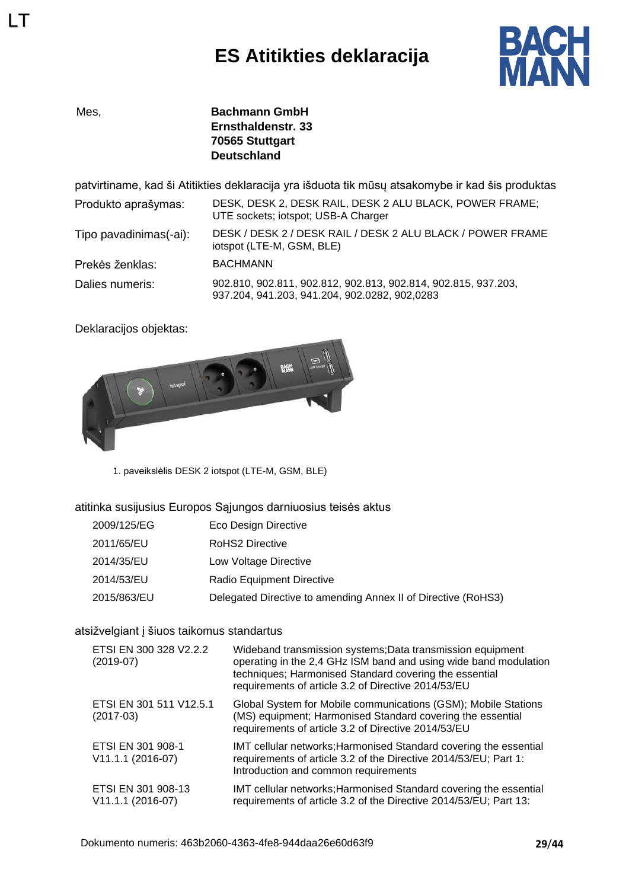# **ES Atitikties deklaracija**



LT

Mes, **Bachmann GmbH Ernsthaldenstr. 33 70565 Stuttgart Deutschland**

patvirtiname, kad ši Atitikties deklaracija yra išduota tik mūsų atsakomybe ir kad šis produktas

| Produkto aprašymas:    | DESK, DESK 2, DESK RAIL, DESK 2 ALU BLACK, POWER FRAME;<br>UTE sockets; iotspot; USB-A Charger                  |
|------------------------|-----------------------------------------------------------------------------------------------------------------|
| Tipo pavadinimas(-ai): | DESK / DESK 2 / DESK RAIL / DESK 2 ALU BLACK / POWER FRAME<br>iotspot (LTE-M, GSM, BLE)                         |
| Prekės ženklas:        | <b>BACHMANN</b>                                                                                                 |
| Dalies numeris:        | 902.810, 902.811, 902.812, 902.813, 902.814, 902.815, 937.203,<br>937.204, 941.203, 941.204, 902.0282, 902,0283 |

Deklaracijos objektas:



1. paveikslėlis DESK 2 iotspot (LTE-M, GSM, BLE)

atitinka susijusius Europos Sąjungos darniuosius teisės aktus

| 2009/125/EG | Eco Design Directive                                          |
|-------------|---------------------------------------------------------------|
| 2011/65/EU  | RoHS2 Directive                                               |
| 2014/35/EU  | Low Voltage Directive                                         |
| 2014/53/EU  | Radio Equipment Directive                                     |
| 2015/863/EU | Delegated Directive to amending Annex II of Directive (RoHS3) |

### atsižvelgiant į šiuos taikomus standartus

| ETSI EN 300 328 V2.2.2<br>$(2019-07)$   | Wideband transmission systems; Data transmission equipment<br>operating in the 2,4 GHz ISM band and using wide band modulation<br>techniques; Harmonised Standard covering the essential<br>requirements of article 3.2 of Directive 2014/53/EU |
|-----------------------------------------|-------------------------------------------------------------------------------------------------------------------------------------------------------------------------------------------------------------------------------------------------|
| ETSI EN 301 511 V12.5.1<br>$(2017-03)$  | Global System for Mobile communications (GSM); Mobile Stations<br>(MS) equipment; Harmonised Standard covering the essential<br>requirements of article 3.2 of Directive 2014/53/EU                                                             |
| ETSI EN 301 908-1<br>V11.1.1 (2016-07)  | IMT cellular networks; Harmonised Standard covering the essential<br>requirements of article 3.2 of the Directive 2014/53/EU; Part 1:<br>Introduction and common requirements                                                                   |
| ETSI EN 301 908-13<br>V11.1.1 (2016-07) | IMT cellular networks; Harmonised Standard covering the essential<br>requirements of article 3.2 of the Directive 2014/53/EU; Part 13:                                                                                                          |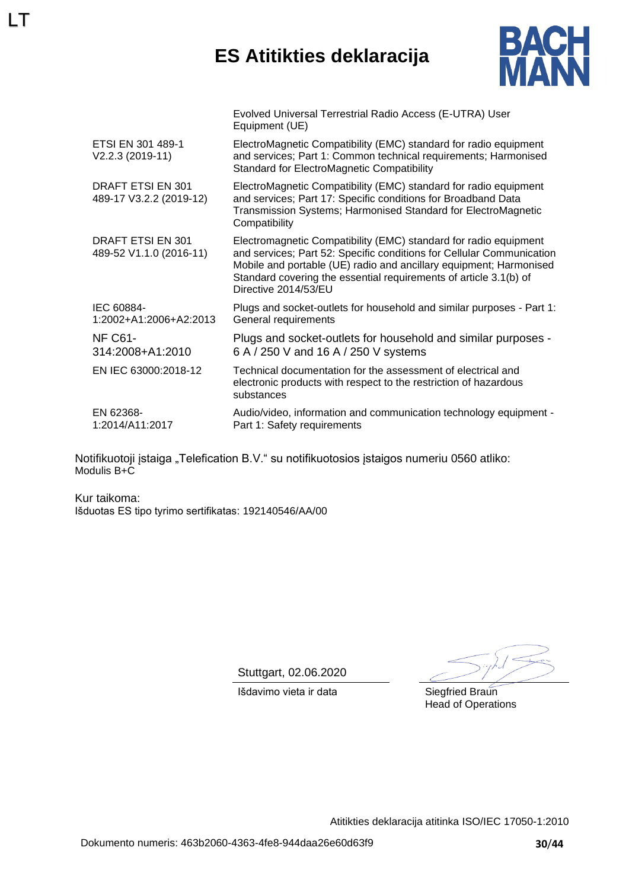## **ES Atitikties deklaracija**



|                                              | Evolved Universal Terrestrial Radio Access (E-UTRA) User<br>Equipment (UE)                                                                                                                                                                                                                                   |
|----------------------------------------------|--------------------------------------------------------------------------------------------------------------------------------------------------------------------------------------------------------------------------------------------------------------------------------------------------------------|
| ETSI EN 301 489-1<br>$V2.2.3 (2019-11)$      | ElectroMagnetic Compatibility (EMC) standard for radio equipment<br>and services; Part 1: Common technical requirements; Harmonised<br><b>Standard for ElectroMagnetic Compatibility</b>                                                                                                                     |
| DRAFT ETSI EN 301<br>489-17 V3.2.2 (2019-12) | ElectroMagnetic Compatibility (EMC) standard for radio equipment<br>and services; Part 17: Specific conditions for Broadband Data<br>Transmission Systems; Harmonised Standard for ElectroMagnetic<br>Compatibility                                                                                          |
| DRAFT ETSI EN 301<br>489-52 V1.1.0 (2016-11) | Electromagnetic Compatibility (EMC) standard for radio equipment<br>and services; Part 52: Specific conditions for Cellular Communication<br>Mobile and portable (UE) radio and ancillary equipment; Harmonised<br>Standard covering the essential requirements of article 3.1(b) of<br>Directive 2014/53/EU |
| IEC 60884-<br>1:2002+A1:2006+A2:2013         | Plugs and socket-outlets for household and similar purposes - Part 1:<br>General requirements                                                                                                                                                                                                                |
| <b>NF C61-</b><br>314:2008+A1:2010           | Plugs and socket-outlets for household and similar purposes -<br>6 A / 250 V and 16 A / 250 V systems                                                                                                                                                                                                        |
| EN IEC 63000:2018-12                         | Technical documentation for the assessment of electrical and<br>electronic products with respect to the restriction of hazardous<br>substances                                                                                                                                                               |
| EN 62368-<br>1:2014/A11:2017                 | Audio/video, information and communication technology equipment -<br>Part 1: Safety requirements                                                                                                                                                                                                             |

Notifikuotoji įstaiga "Telefication B.V." su notifikuotosios įstaigos numeriu 0560 atliko: Modulis B+C

Kur taikoma: Išduotas ES tipo tyrimo sertifikatas: 192140546/AA/00

LT

Stuttgart, 02.06.2020

Išdavimo vieta ir data Siegfried Braun

Head of Operations

Atitikties deklaracija atitinka ISO/IEC 17050-1:2010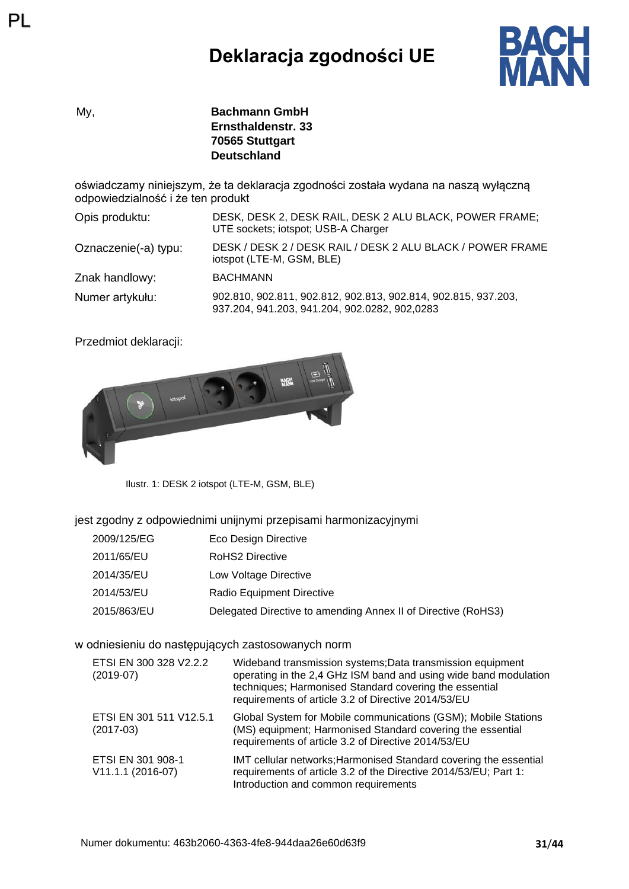# **Deklaracja zgodności UE**



My, **Bachmann GmbH Ernsthaldenstr. 33 70565 Stuttgart Deutschland**

oświadczamy niniejszym, że ta deklaracja zgodności została wydana na naszą wyłączną odpowiedzialność i że ten produkt

| Opis produktu:       | DESK, DESK 2, DESK RAIL, DESK 2 ALU BLACK, POWER FRAME;<br>UTE sockets; iotspot; USB-A Charger                  |
|----------------------|-----------------------------------------------------------------------------------------------------------------|
| Oznaczenie(-a) typu: | DESK / DESK 2 / DESK RAIL / DESK 2 ALU BLACK / POWER FRAME<br>iotspot (LTE-M, GSM, BLE)                         |
| Znak handlowy:       | <b>BACHMANN</b>                                                                                                 |
| Numer artykułu:      | 902.810, 902.811, 902.812, 902.813, 902.814, 902.815, 937.203,<br>937.204, 941.203, 941.204, 902.0282, 902,0283 |

Przedmiot deklaracji:

PL



Ilustr. 1: DESK 2 iotspot (LTE-M, GSM, BLE)

jest zgodny z odpowiednimi unijnymi przepisami harmonizacyjnymi

| 2009/125/EG | Eco Design Directive                                          |
|-------------|---------------------------------------------------------------|
| 2011/65/EU  | RoHS2 Directive                                               |
| 2014/35/EU  | Low Voltage Directive                                         |
| 2014/53/EU  | Radio Equipment Directive                                     |
| 2015/863/EU | Delegated Directive to amending Annex II of Directive (RoHS3) |

#### w odniesieniu do następujących zastosowanych norm

| ETSI EN 300 328 V2.2.2<br>$(2019-07)$    | Wideband transmission systems; Data transmission equipment<br>operating in the 2,4 GHz ISM band and using wide band modulation<br>techniques; Harmonised Standard covering the essential<br>requirements of article 3.2 of Directive 2014/53/EU |
|------------------------------------------|-------------------------------------------------------------------------------------------------------------------------------------------------------------------------------------------------------------------------------------------------|
| ETSI EN 301 511 V12.5.1<br>$(2017-03)$   | Global System for Mobile communications (GSM); Mobile Stations<br>(MS) equipment; Harmonised Standard covering the essential<br>requirements of article 3.2 of Directive 2014/53/EU                                                             |
| ETSI EN 301 908-1<br>$V11.1.1 (2016-07)$ | IMT cellular networks; Harmonised Standard covering the essential<br>requirements of article 3.2 of the Directive 2014/53/EU; Part 1:<br>Introduction and common requirements                                                                   |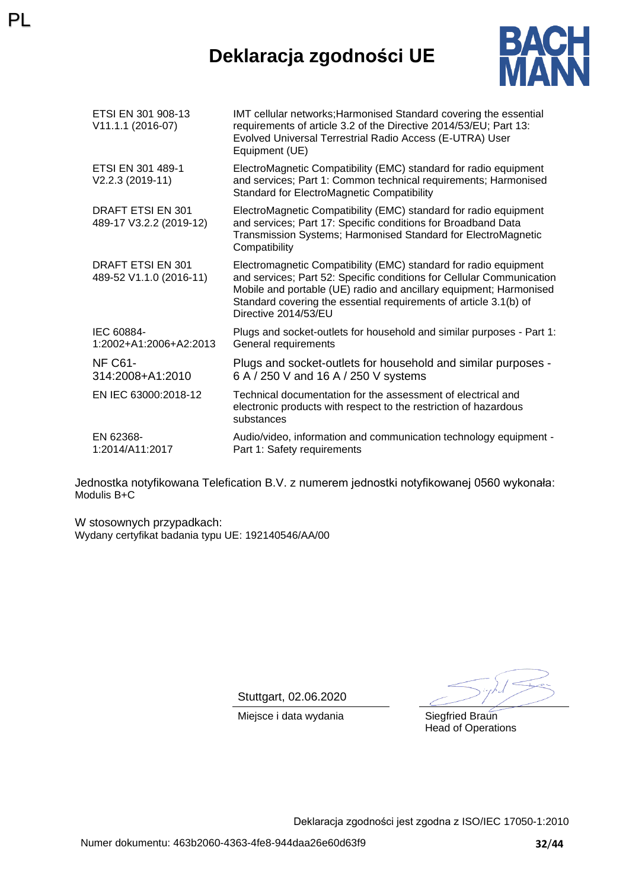# **Deklaracja zgodności UE**



| ETSI EN 301 908-13<br>V11.1.1 (2016-07)             | IMT cellular networks; Harmonised Standard covering the essential<br>requirements of article 3.2 of the Directive 2014/53/EU; Part 13:<br>Evolved Universal Terrestrial Radio Access (E-UTRA) User<br>Equipment (UE)                                                                                         |
|-----------------------------------------------------|--------------------------------------------------------------------------------------------------------------------------------------------------------------------------------------------------------------------------------------------------------------------------------------------------------------|
| ETSI EN 301 489-1<br>V2.2.3 (2019-11)               | ElectroMagnetic Compatibility (EMC) standard for radio equipment<br>and services; Part 1: Common technical requirements; Harmonised<br><b>Standard for ElectroMagnetic Compatibility</b>                                                                                                                     |
| <b>DRAFT ETSI EN 301</b><br>489-17 V3.2.2 (2019-12) | ElectroMagnetic Compatibility (EMC) standard for radio equipment<br>and services; Part 17: Specific conditions for Broadband Data<br>Transmission Systems; Harmonised Standard for ElectroMagnetic<br>Compatibility                                                                                          |
| DRAFT ETSI EN 301<br>489-52 V1.1.0 (2016-11)        | Electromagnetic Compatibility (EMC) standard for radio equipment<br>and services; Part 52: Specific conditions for Cellular Communication<br>Mobile and portable (UE) radio and ancillary equipment; Harmonised<br>Standard covering the essential requirements of article 3.1(b) of<br>Directive 2014/53/EU |
| IEC 60884-<br>1:2002+A1:2006+A2:2013                | Plugs and socket-outlets for household and similar purposes - Part 1:<br>General requirements                                                                                                                                                                                                                |
| <b>NF C61-</b><br>314:2008+A1:2010                  | Plugs and socket-outlets for household and similar purposes -<br>6 A / 250 V and 16 A / 250 V systems                                                                                                                                                                                                        |
| EN IEC 63000:2018-12                                | Technical documentation for the assessment of electrical and<br>electronic products with respect to the restriction of hazardous<br>substances                                                                                                                                                               |
| EN 62368-<br>1:2014/A11:2017                        | Audio/video, information and communication technology equipment -<br>Part 1: Safety requirements                                                                                                                                                                                                             |

Jednostka notyfikowana Telefication B.V. z numerem jednostki notyfikowanej 0560 wykonała: Modulis B+C

W stosownych przypadkach: Wydany certyfikat badania typu UE: 192140546/AA/00

PL

Stuttgart, 02.06.2020

Miejsce i data wydania Siegfried Braun

Head of Operations

Deklaracja zgodności jest zgodna z ISO/IEC 17050-1:2010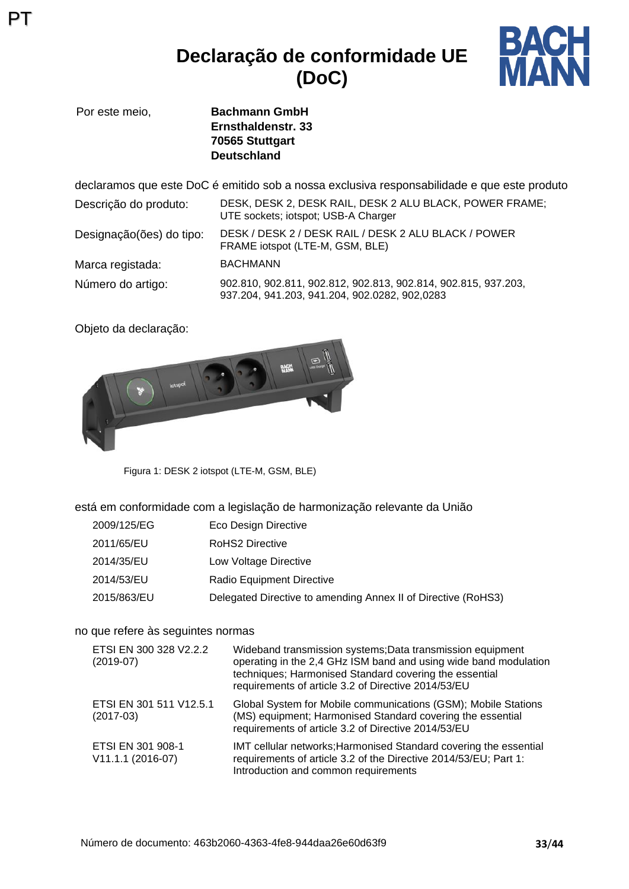## **Declaração de conformidade UE (DoC)**



Por este meio, **Bachmann GmbH Ernsthaldenstr. 33 70565 Stuttgart Deutschland**

declaramos que este DoC é emitido sob a nossa exclusiva responsabilidade e que este produto Descrição do produto: DESK, DESK 2, DESK RAIL, DESK 2 ALU BLACK, POWER FRAME; UTE sockets; iotspot; USB-A Charger Designação(ões) do tipo: DESK / DESK 2 / DESK RAIL / DESK 2 ALU BLACK / POWER FRAME iotspot (LTE-M, GSM, BLE) Marca registada: BACHMANN Número do artigo: 902.810, 902.811, 902.812, 902.813, 902.814, 902.815, 937.203, 937.204, 941.203, 941.204, 902.0282, 902,0283

Objeto da declaração:

PT



Figura 1: DESK 2 iotspot (LTE-M, GSM, BLE)

está em conformidade com a legislação de harmonização relevante da União

| 2009/125/EG | Eco Design Directive                                          |
|-------------|---------------------------------------------------------------|
| 2011/65/EU  | RoHS2 Directive                                               |
| 2014/35/EU  | Low Voltage Directive                                         |
| 2014/53/EU  | Radio Equipment Directive                                     |
| 2015/863/EU | Delegated Directive to amending Annex II of Directive (RoHS3) |

### no que refere às seguintes normas

| ETSI EN 300 328 V2.2.2<br>$(2019-07)$  | Wideband transmission systems; Data transmission equipment<br>operating in the 2,4 GHz ISM band and using wide band modulation<br>techniques; Harmonised Standard covering the essential<br>requirements of article 3.2 of Directive 2014/53/EU |
|----------------------------------------|-------------------------------------------------------------------------------------------------------------------------------------------------------------------------------------------------------------------------------------------------|
| ETSI EN 301 511 V12.5.1<br>$(2017-03)$ | Global System for Mobile communications (GSM); Mobile Stations<br>(MS) equipment; Harmonised Standard covering the essential<br>requirements of article 3.2 of Directive 2014/53/EU                                                             |
| ETSI EN 301 908-1<br>V11.1.1 (2016-07) | IMT cellular networks; Harmonised Standard covering the essential<br>requirements of article 3.2 of the Directive 2014/53/EU; Part 1:<br>Introduction and common requirements                                                                   |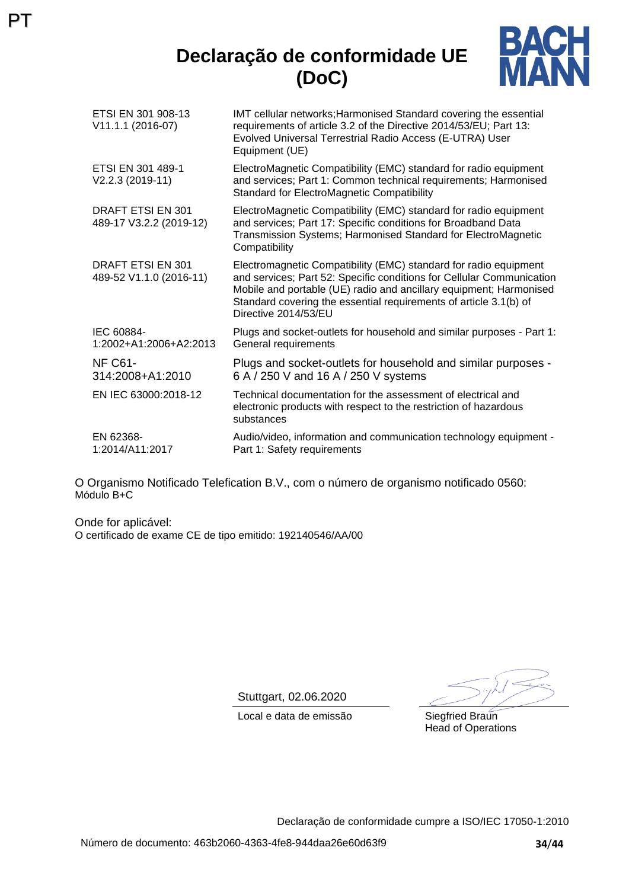## **Declaração de conformidade UE (DoC)**



| ETSI EN 301 908-13<br>V11.1.1 (2016-07)             | IMT cellular networks; Harmonised Standard covering the essential<br>requirements of article 3.2 of the Directive 2014/53/EU; Part 13:<br>Evolved Universal Terrestrial Radio Access (E-UTRA) User<br>Equipment (UE)                                                                                         |
|-----------------------------------------------------|--------------------------------------------------------------------------------------------------------------------------------------------------------------------------------------------------------------------------------------------------------------------------------------------------------------|
| ETSI EN 301 489-1<br>V2.2.3 (2019-11)               | ElectroMagnetic Compatibility (EMC) standard for radio equipment<br>and services; Part 1: Common technical requirements; Harmonised<br><b>Standard for ElectroMagnetic Compatibility</b>                                                                                                                     |
| <b>DRAFT ETSI EN 301</b><br>489-17 V3.2.2 (2019-12) | ElectroMagnetic Compatibility (EMC) standard for radio equipment<br>and services; Part 17: Specific conditions for Broadband Data<br>Transmission Systems; Harmonised Standard for ElectroMagnetic<br>Compatibility                                                                                          |
| DRAFT ETSI EN 301<br>489-52 V1.1.0 (2016-11)        | Electromagnetic Compatibility (EMC) standard for radio equipment<br>and services; Part 52: Specific conditions for Cellular Communication<br>Mobile and portable (UE) radio and ancillary equipment; Harmonised<br>Standard covering the essential requirements of article 3.1(b) of<br>Directive 2014/53/EU |
| IEC 60884-<br>1:2002+A1:2006+A2:2013                | Plugs and socket-outlets for household and similar purposes - Part 1:<br>General requirements                                                                                                                                                                                                                |
| NF C61-<br>314:2008+A1:2010                         | Plugs and socket-outlets for household and similar purposes -<br>6 A / 250 V and 16 A / 250 V systems                                                                                                                                                                                                        |
| EN IEC 63000:2018-12                                | Technical documentation for the assessment of electrical and<br>electronic products with respect to the restriction of hazardous<br>substances                                                                                                                                                               |
| EN 62368-<br>1:2014/A11:2017                        | Audio/video, information and communication technology equipment -<br>Part 1: Safety requirements                                                                                                                                                                                                             |

O Organismo Notificado Telefication B.V., com o número de organismo notificado 0560: Módulo B+C

Onde for aplicável: O certificado de exame CE de tipo emitido: 192140546/AA/00

PT

Stuttgart, 02.06.2020

Local e data de emissão Siegfried Braun

Head of Operations

Declaração de conformidade cumpre a ISO/IEC 17050-1:2010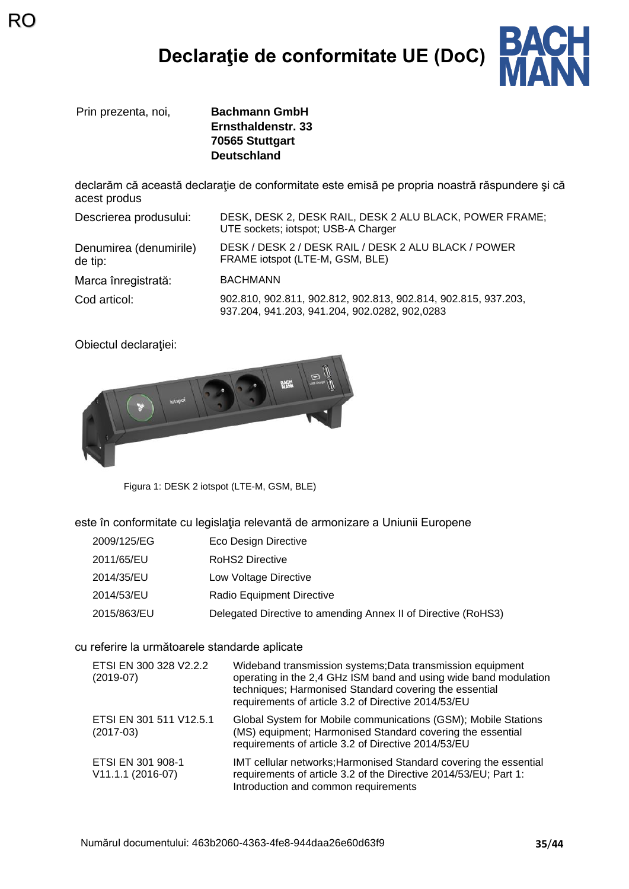# **Declaraţie de conformitate UE (DoC)**



Prin prezenta, noi, **Bachmann GmbH**

RO

**Ernsthaldenstr. 33 70565 Stuttgart Deutschland**

declarăm că această declaraţie de conformitate este emisă pe propria noastră răspundere şi că acest produs

| Descrierea produsului:            | DESK, DESK 2, DESK RAIL, DESK 2 ALU BLACK, POWER FRAME;<br>UTE sockets; iotspot; USB-A Charger                  |
|-----------------------------------|-----------------------------------------------------------------------------------------------------------------|
| Denumirea (denumirile)<br>de tip: | DESK / DESK 2 / DESK RAIL / DESK 2 ALU BLACK / POWER<br>FRAME iotspot (LTE-M, GSM, BLE)                         |
| Marca înregistrată:               | <b>BACHMANN</b>                                                                                                 |
| Cod articol:                      | 902.810, 902.811, 902.812, 902.813, 902.814, 902.815, 937.203,<br>937.204, 941.203, 941.204, 902.0282, 902,0283 |

Obiectul declaraţiei:



Figura 1: DESK 2 iotspot (LTE-M, GSM, BLE)

este în conformitate cu legislaţia relevantă de armonizare a Uniunii Europene

| 2009/125/EG | Eco Design Directive                                          |
|-------------|---------------------------------------------------------------|
| 2011/65/EU  | RoHS2 Directive                                               |
| 2014/35/EU  | Low Voltage Directive                                         |
| 2014/53/EU  | <b>Radio Equipment Directive</b>                              |
| 2015/863/EU | Delegated Directive to amending Annex II of Directive (RoHS3) |

cu referire la următoarele standarde aplicate

| ETSI EN 300 328 V2.2.2<br>$(2019-07)$    | Wideband transmission systems; Data transmission equipment<br>operating in the 2,4 GHz ISM band and using wide band modulation<br>techniques; Harmonised Standard covering the essential<br>requirements of article 3.2 of Directive 2014/53/EU |
|------------------------------------------|-------------------------------------------------------------------------------------------------------------------------------------------------------------------------------------------------------------------------------------------------|
| ETSI EN 301 511 V12.5.1<br>$(2017-03)$   | Global System for Mobile communications (GSM); Mobile Stations<br>(MS) equipment; Harmonised Standard covering the essential<br>requirements of article 3.2 of Directive 2014/53/EU                                                             |
| ETSI EN 301 908-1<br>$V11.1.1 (2016-07)$ | IMT cellular networks; Harmonised Standard covering the essential<br>requirements of article 3.2 of the Directive 2014/53/EU; Part 1:<br>Introduction and common requirements                                                                   |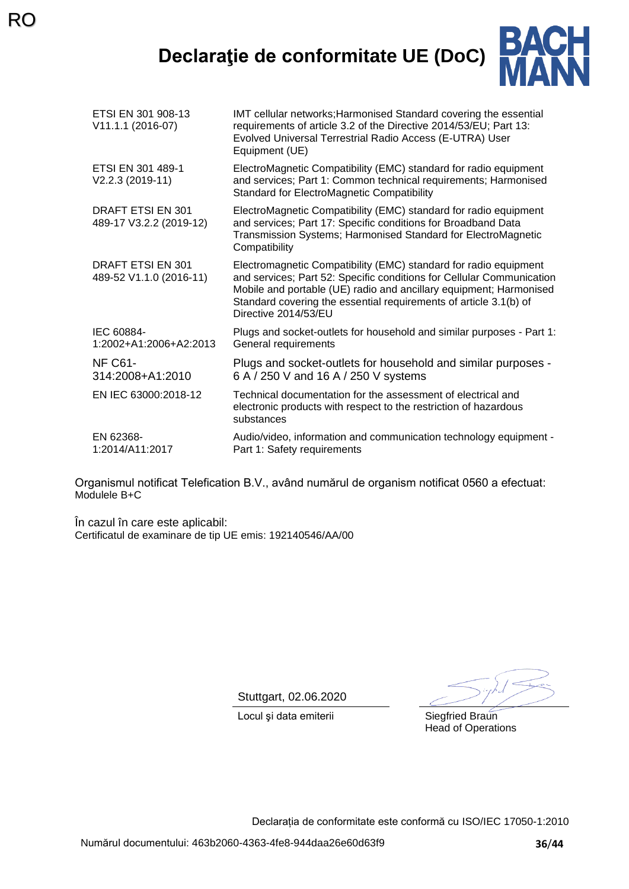**Declaraţie de conformitate UE (DoC)**



| ETSI EN 301 908-13<br>V11.1.1 (2016-07)      | IMT cellular networks; Harmonised Standard covering the essential<br>requirements of article 3.2 of the Directive 2014/53/EU; Part 13:<br>Evolved Universal Terrestrial Radio Access (E-UTRA) User<br>Equipment (UE)                                                                                         |
|----------------------------------------------|--------------------------------------------------------------------------------------------------------------------------------------------------------------------------------------------------------------------------------------------------------------------------------------------------------------|
| ETSI EN 301 489-1<br>V2.2.3 (2019-11)        | ElectroMagnetic Compatibility (EMC) standard for radio equipment<br>and services; Part 1: Common technical requirements; Harmonised<br><b>Standard for ElectroMagnetic Compatibility</b>                                                                                                                     |
| DRAFT ETSI EN 301<br>489-17 V3.2.2 (2019-12) | ElectroMagnetic Compatibility (EMC) standard for radio equipment<br>and services; Part 17: Specific conditions for Broadband Data<br>Transmission Systems; Harmonised Standard for ElectroMagnetic<br>Compatibility                                                                                          |
| DRAFT ETSI EN 301<br>489-52 V1.1.0 (2016-11) | Electromagnetic Compatibility (EMC) standard for radio equipment<br>and services; Part 52: Specific conditions for Cellular Communication<br>Mobile and portable (UE) radio and ancillary equipment; Harmonised<br>Standard covering the essential requirements of article 3.1(b) of<br>Directive 2014/53/EU |
| IEC 60884-<br>1:2002+A1:2006+A2:2013         | Plugs and socket-outlets for household and similar purposes - Part 1:<br>General requirements                                                                                                                                                                                                                |
| NF C61-<br>314:2008+A1:2010                  | Plugs and socket-outlets for household and similar purposes -<br>6 A / 250 V and 16 A / 250 V systems                                                                                                                                                                                                        |
| EN IEC 63000:2018-12                         | Technical documentation for the assessment of electrical and<br>electronic products with respect to the restriction of hazardous<br>substances                                                                                                                                                               |
| EN 62368-<br>1:2014/A11:2017                 | Audio/video, information and communication technology equipment -<br>Part 1: Safety requirements                                                                                                                                                                                                             |

Organismul notificat Telefication B.V., având numărul de organism notificat 0560 a efectuat: Modulele B+C

În cazul în care este aplicabil: Certificatul de examinare de tip UE emis: 192140546/AA/00

Stuttgart, 02.06.2020

Locul și data emiterii Siegfried Braun

Head of Operations

Declarația de conformitate este conformă cu ISO/IEC 17050-1:2010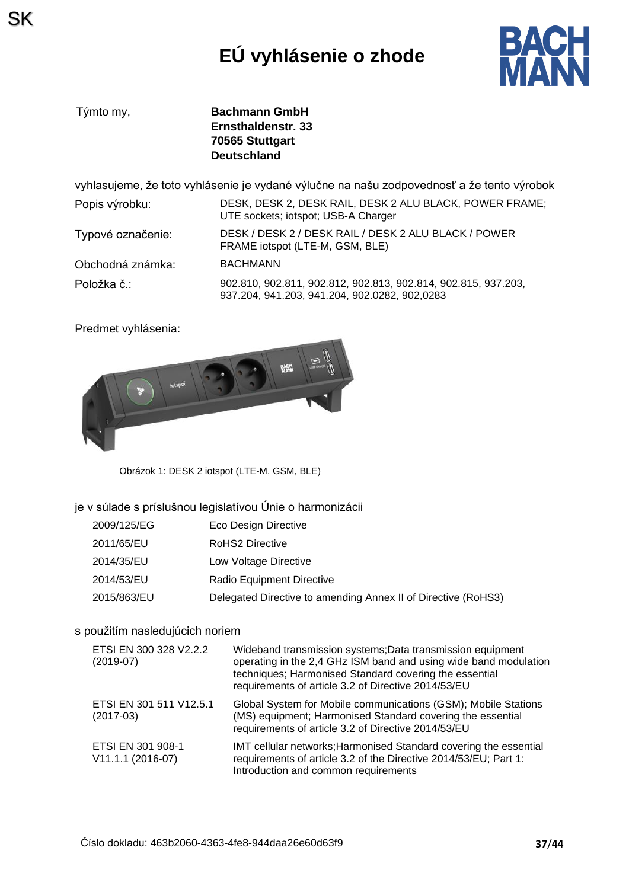# **EÚ vyhlásenie o zhode**



| Týmto my, | <b>Bachmann GmbH</b> |
|-----------|----------------------|
|           | Ernsthaldenstr, 33   |
|           | 70565 Stuttgart      |
|           | <b>Deutschland</b>   |

vyhlasujeme, že toto vyhlásenie je vydané výlučne na našu zodpovednosť a že tento výrobok

| Popis výrobku:    | DESK, DESK 2, DESK RAIL, DESK 2 ALU BLACK, POWER FRAME;<br>UTE sockets; iotspot; USB-A Charger                  |
|-------------------|-----------------------------------------------------------------------------------------------------------------|
| Typové označenie: | DESK / DESK 2 / DESK RAIL / DESK 2 ALU BLACK / POWER<br>FRAME iotspot (LTE-M, GSM, BLE)                         |
| Obchodná známka:  | <b>BACHMANN</b>                                                                                                 |
| Položka č.:       | 902.810, 902.811, 902.812, 902.813, 902.814, 902.815, 937.203,<br>937.204, 941.203, 941.204, 902.0282, 902,0283 |

Predmet vyhlásenia:



Obrázok 1: DESK 2 iotspot (LTE-M, GSM, BLE)

### je v súlade s príslušnou legislatívou Únie o harmonizácii

| 2009/125/EG | Eco Design Directive                                          |
|-------------|---------------------------------------------------------------|
| 2011/65/EU  | RoHS2 Directive                                               |
| 2014/35/EU  | Low Voltage Directive                                         |
| 2014/53/EU  | Radio Equipment Directive                                     |
| 2015/863/EU | Delegated Directive to amending Annex II of Directive (RoHS3) |

### s použitím nasledujúcich noriem

| ETSI EN 300 328 V2.2.2<br>$(2019-07)$  | Wideband transmission systems; Data transmission equipment<br>operating in the 2,4 GHz ISM band and using wide band modulation<br>techniques; Harmonised Standard covering the essential<br>requirements of article 3.2 of Directive 2014/53/EU |
|----------------------------------------|-------------------------------------------------------------------------------------------------------------------------------------------------------------------------------------------------------------------------------------------------|
| ETSI EN 301 511 V12.5.1<br>$(2017-03)$ | Global System for Mobile communications (GSM); Mobile Stations<br>(MS) equipment; Harmonised Standard covering the essential<br>requirements of article 3.2 of Directive 2014/53/EU                                                             |
| ETSI EN 301 908-1<br>V11.1.1 (2016-07) | IMT cellular networks; Harmonised Standard covering the essential<br>requirements of article 3.2 of the Directive 2014/53/EU; Part 1:<br>Introduction and common requirements                                                                   |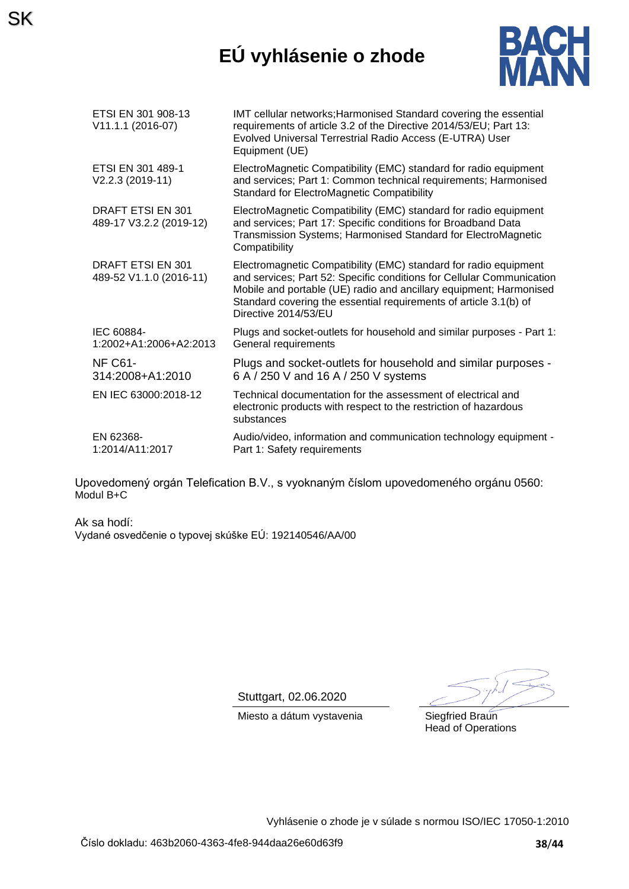## **EÚ vyhlásenie o zhode**



| ETSI EN 301 908-13<br>V11.1.1 (2016-07)             | IMT cellular networks; Harmonised Standard covering the essential<br>requirements of article 3.2 of the Directive 2014/53/EU; Part 13:<br>Evolved Universal Terrestrial Radio Access (E-UTRA) User<br>Equipment (UE)                                                                                         |
|-----------------------------------------------------|--------------------------------------------------------------------------------------------------------------------------------------------------------------------------------------------------------------------------------------------------------------------------------------------------------------|
| ETSI EN 301 489-1<br>V2.2.3 (2019-11)               | ElectroMagnetic Compatibility (EMC) standard for radio equipment<br>and services; Part 1: Common technical requirements; Harmonised<br><b>Standard for ElectroMagnetic Compatibility</b>                                                                                                                     |
| <b>DRAFT ETSI EN 301</b><br>489-17 V3.2.2 (2019-12) | ElectroMagnetic Compatibility (EMC) standard for radio equipment<br>and services; Part 17: Specific conditions for Broadband Data<br>Transmission Systems; Harmonised Standard for ElectroMagnetic<br>Compatibility                                                                                          |
| <b>DRAFT ETSI EN 301</b><br>489-52 V1.1.0 (2016-11) | Electromagnetic Compatibility (EMC) standard for radio equipment<br>and services; Part 52: Specific conditions for Cellular Communication<br>Mobile and portable (UE) radio and ancillary equipment; Harmonised<br>Standard covering the essential requirements of article 3.1(b) of<br>Directive 2014/53/EU |
| IEC 60884-<br>1:2002+A1:2006+A2:2013                | Plugs and socket-outlets for household and similar purposes - Part 1:<br>General requirements                                                                                                                                                                                                                |
| NF C61-<br>314:2008+A1:2010                         | Plugs and socket-outlets for household and similar purposes -<br>6 A / 250 V and 16 A / 250 V systems                                                                                                                                                                                                        |
| EN IEC 63000:2018-12                                | Technical documentation for the assessment of electrical and<br>electronic products with respect to the restriction of hazardous<br>substances                                                                                                                                                               |
| EN 62368-<br>1:2014/A11:2017                        | Audio/video, information and communication technology equipment -<br>Part 1: Safety requirements                                                                                                                                                                                                             |

Upovedomený orgán Telefication B.V., s vyoknaným číslom upovedomeného orgánu 0560: Modul B+C

Ak sa hodí: Vydané osvedčenie o typovej skúške EÚ: 192140546/AA/00

SK

Stuttgart, 02.06.2020

Miesto a dátum vystavenia Siegfried Braun

Head of Operations

Vyhlásenie o zhode je v súlade s normou ISO/IEC 17050-1:2010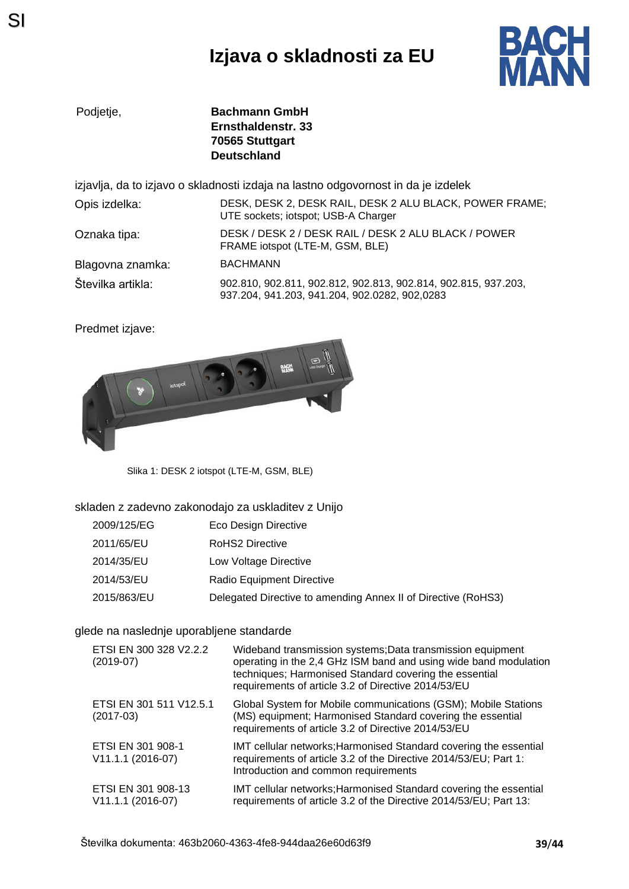## **Izjava o skladnosti za EU**



Podjetje, **Bachmann GmbH Ernsthaldenstr. 33 70565 Stuttgart Deutschland**

izjavlja, da to izjavo o skladnosti izdaja na lastno odgovornost in da je izdelek

| Opis izdelka:     | DESK, DESK 2, DESK RAIL, DESK 2 ALU BLACK, POWER FRAME;<br>UTE sockets; iotspot; USB-A Charger                  |
|-------------------|-----------------------------------------------------------------------------------------------------------------|
| Oznaka tipa:      | DESK / DESK 2 / DESK RAIL / DESK 2 ALU BLACK / POWER<br>FRAME iotspot (LTE-M, GSM, BLE)                         |
| Blagovna znamka:  | <b>BACHMANN</b>                                                                                                 |
| Številka artikla: | 902.810, 902.811, 902.812, 902.813, 902.814, 902.815, 937.203,<br>937.204, 941.203, 941.204, 902.0282, 902,0283 |

Predmet izjave:



Slika 1: DESK 2 iotspot (LTE-M, GSM, BLE)

### skladen z zadevno zakonodajo za uskladitev z Unijo

| 2009/125/EG | Eco Design Directive                                          |
|-------------|---------------------------------------------------------------|
| 2011/65/EU  | RoHS2 Directive                                               |
| 2014/35/EU  | Low Voltage Directive                                         |
| 2014/53/EU  | Radio Equipment Directive                                     |
| 2015/863/EU | Delegated Directive to amending Annex II of Directive (RoHS3) |

### glede na naslednje uporabljene standarde

| ETSI EN 300 328 V2.2.2<br>$(2019-07)$   | Wideband transmission systems; Data transmission equipment<br>operating in the 2,4 GHz ISM band and using wide band modulation<br>techniques; Harmonised Standard covering the essential<br>requirements of article 3.2 of Directive 2014/53/EU |
|-----------------------------------------|-------------------------------------------------------------------------------------------------------------------------------------------------------------------------------------------------------------------------------------------------|
| ETSI EN 301 511 V12.5.1<br>$(2017-03)$  | Global System for Mobile communications (GSM); Mobile Stations<br>(MS) equipment; Harmonised Standard covering the essential<br>requirements of article 3.2 of Directive 2014/53/EU                                                             |
| ETSI EN 301 908-1<br>V11.1.1 (2016-07)  | IMT cellular networks; Harmonised Standard covering the essential<br>requirements of article 3.2 of the Directive 2014/53/EU; Part 1:<br>Introduction and common requirements                                                                   |
| ETSI EN 301 908-13<br>V11.1.1 (2016-07) | IMT cellular networks; Harmonised Standard covering the essential<br>requirements of article 3.2 of the Directive 2014/53/EU; Part 13:                                                                                                          |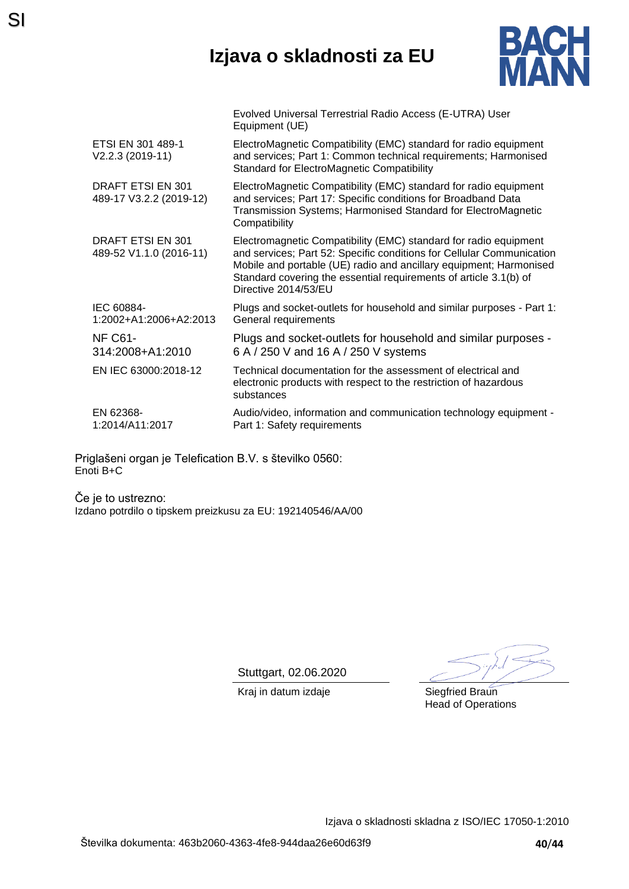## **Izjava o skladnosti za EU**



|                                              | Evolved Universal Terrestrial Radio Access (E-UTRA) User<br>Equipment (UE)                                                                                                                                                                                                                                   |
|----------------------------------------------|--------------------------------------------------------------------------------------------------------------------------------------------------------------------------------------------------------------------------------------------------------------------------------------------------------------|
| ETSI EN 301 489-1<br>V2.2.3 (2019-11)        | ElectroMagnetic Compatibility (EMC) standard for radio equipment<br>and services; Part 1: Common technical requirements; Harmonised<br><b>Standard for ElectroMagnetic Compatibility</b>                                                                                                                     |
| DRAFT ETSI EN 301<br>489-17 V3.2.2 (2019-12) | ElectroMagnetic Compatibility (EMC) standard for radio equipment<br>and services; Part 17: Specific conditions for Broadband Data<br>Transmission Systems; Harmonised Standard for ElectroMagnetic<br>Compatibility                                                                                          |
| DRAFT ETSI EN 301<br>489-52 V1.1.0 (2016-11) | Electromagnetic Compatibility (EMC) standard for radio equipment<br>and services; Part 52: Specific conditions for Cellular Communication<br>Mobile and portable (UE) radio and ancillary equipment; Harmonised<br>Standard covering the essential requirements of article 3.1(b) of<br>Directive 2014/53/EU |
| IEC 60884-<br>1:2002+A1:2006+A2:2013         | Plugs and socket-outlets for household and similar purposes - Part 1:<br>General requirements                                                                                                                                                                                                                |
| <b>NF C61-</b><br>314:2008+A1:2010           | Plugs and socket-outlets for household and similar purposes -<br>6 A / 250 V and 16 A / 250 V systems                                                                                                                                                                                                        |
| EN IEC 63000:2018-12                         | Technical documentation for the assessment of electrical and<br>electronic products with respect to the restriction of hazardous<br>substances                                                                                                                                                               |
| EN 62368-<br>1:2014/A11:2017                 | Audio/video, information and communication technology equipment -<br>Part 1: Safety requirements                                                                                                                                                                                                             |

Priglašeni organ je Telefication B.V. s številko 0560: Enoti B+C

Če je to ustrezno: Izdano potrdilo o tipskem preizkusu za EU: 192140546/AA/00

Stuttgart, 02.06.2020

Kraj in datum izdaje **Siegfried Braun** Head of Operations

Izjava o skladnosti skladna z ISO/IEC 17050-1:2010

SI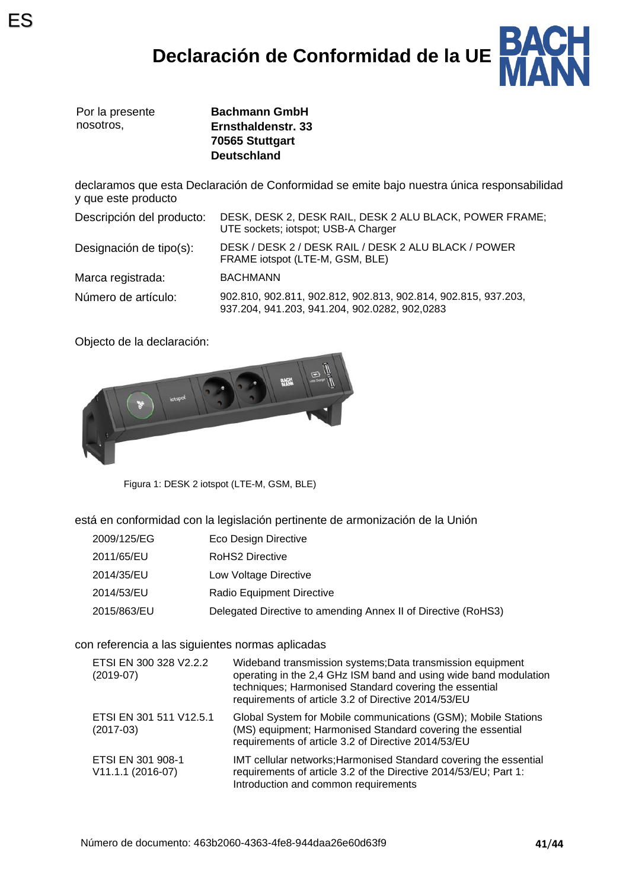# **Declaración de Conformidad de la UE**



|           | Por la presente |
|-----------|-----------------|
| nosotros. |                 |

**Bachmann GmbH Ernsthaldenstr. 33 70565 Stuttgart Deutschland**

declaramos que esta Declaración de Conformidad se emite bajo nuestra única responsabilidad y que este producto

| Descripción del producto: | DESK, DESK 2, DESK RAIL, DESK 2 ALU BLACK, POWER FRAME;<br>UTE sockets; iotspot; USB-A Charger                  |  |
|---------------------------|-----------------------------------------------------------------------------------------------------------------|--|
| Designación de tipo(s):   | DESK / DESK 2 / DESK RAIL / DESK 2 ALU BLACK / POWER<br>FRAME iotspot (LTE-M, GSM, BLE)                         |  |
| Marca registrada:         | <b>BACHMANN</b>                                                                                                 |  |
| Número de artículo:       | 902.810, 902.811, 902.812, 902.813, 902.814, 902.815, 937.203,<br>937.204, 941.203, 941.204, 902.0282, 902,0283 |  |

Objecto de la declaración:



Figura 1: DESK 2 iotspot (LTE-M, GSM, BLE)

está en conformidad con la legislación pertinente de armonización de la Unión

| 2009/125/EG | Eco Design Directive                                          |
|-------------|---------------------------------------------------------------|
| 2011/65/EU  | RoHS2 Directive                                               |
| 2014/35/EU  | Low Voltage Directive                                         |
| 2014/53/EU  | Radio Equipment Directive                                     |
| 2015/863/EU | Delegated Directive to amending Annex II of Directive (RoHS3) |

con referencia a las siguientes normas aplicadas

| ETSI EN 300 328 V2.2.2<br>$(2019-07)$  | Wideband transmission systems; Data transmission equipment<br>operating in the 2,4 GHz ISM band and using wide band modulation<br>techniques; Harmonised Standard covering the essential<br>requirements of article 3.2 of Directive 2014/53/EU |
|----------------------------------------|-------------------------------------------------------------------------------------------------------------------------------------------------------------------------------------------------------------------------------------------------|
| ETSI EN 301 511 V12.5.1<br>$(2017-03)$ | Global System for Mobile communications (GSM); Mobile Stations<br>(MS) equipment; Harmonised Standard covering the essential<br>requirements of article 3.2 of Directive 2014/53/EU                                                             |
| ETSI EN 301 908-1<br>V11.1.1 (2016-07) | IMT cellular networks; Harmonised Standard covering the essential<br>requirements of article 3.2 of the Directive 2014/53/EU; Part 1:<br>Introduction and common requirements                                                                   |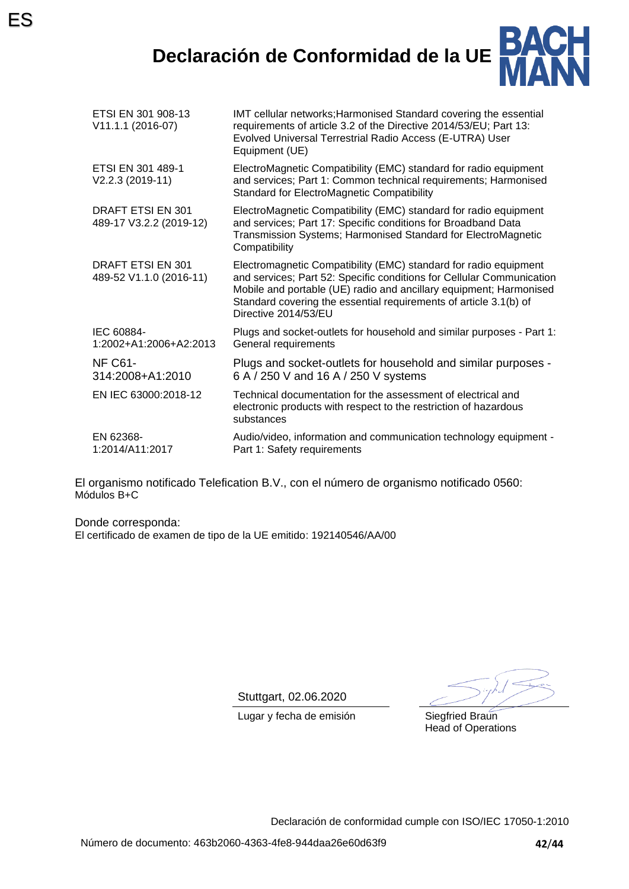ES



| ETSI EN 301 908-13<br>V11.1.1 (2016-07)      | IMT cellular networks; Harmonised Standard covering the essential<br>requirements of article 3.2 of the Directive 2014/53/EU; Part 13:<br>Evolved Universal Terrestrial Radio Access (E-UTRA) User<br>Equipment (UE)                                                                                         |
|----------------------------------------------|--------------------------------------------------------------------------------------------------------------------------------------------------------------------------------------------------------------------------------------------------------------------------------------------------------------|
| ETSI EN 301 489-1<br>V2.2.3 (2019-11)        | ElectroMagnetic Compatibility (EMC) standard for radio equipment<br>and services; Part 1: Common technical requirements; Harmonised<br><b>Standard for ElectroMagnetic Compatibility</b>                                                                                                                     |
| DRAFT ETSI EN 301<br>489-17 V3.2.2 (2019-12) | ElectroMagnetic Compatibility (EMC) standard for radio equipment<br>and services; Part 17: Specific conditions for Broadband Data<br>Transmission Systems; Harmonised Standard for ElectroMagnetic<br>Compatibility                                                                                          |
| DRAFT ETSI EN 301<br>489-52 V1.1.0 (2016-11) | Electromagnetic Compatibility (EMC) standard for radio equipment<br>and services; Part 52: Specific conditions for Cellular Communication<br>Mobile and portable (UE) radio and ancillary equipment; Harmonised<br>Standard covering the essential requirements of article 3.1(b) of<br>Directive 2014/53/EU |
| IEC 60884-<br>1:2002+A1:2006+A2:2013         | Plugs and socket-outlets for household and similar purposes - Part 1:<br>General requirements                                                                                                                                                                                                                |
| <b>NF C61-</b><br>314:2008+A1:2010           | Plugs and socket-outlets for household and similar purposes -<br>6 A / 250 V and 16 A / 250 V systems                                                                                                                                                                                                        |
| EN IEC 63000:2018-12                         | Technical documentation for the assessment of electrical and<br>electronic products with respect to the restriction of hazardous<br>substances                                                                                                                                                               |
| EN 62368-<br>1:2014/A11:2017                 | Audio/video, information and communication technology equipment -<br>Part 1: Safety requirements                                                                                                                                                                                                             |

El organismo notificado Telefication B.V., con el número de organismo notificado 0560: Módulos B+C

Donde corresponda: El certificado de examen de tipo de la UE emitido: 192140546/AA/00

Stuttgart, 02.06.2020

Lugar y fecha de emisión Siegfried Braun

Head of Operations

Declaración de conformidad cumple con ISO/IEC 17050-1:2010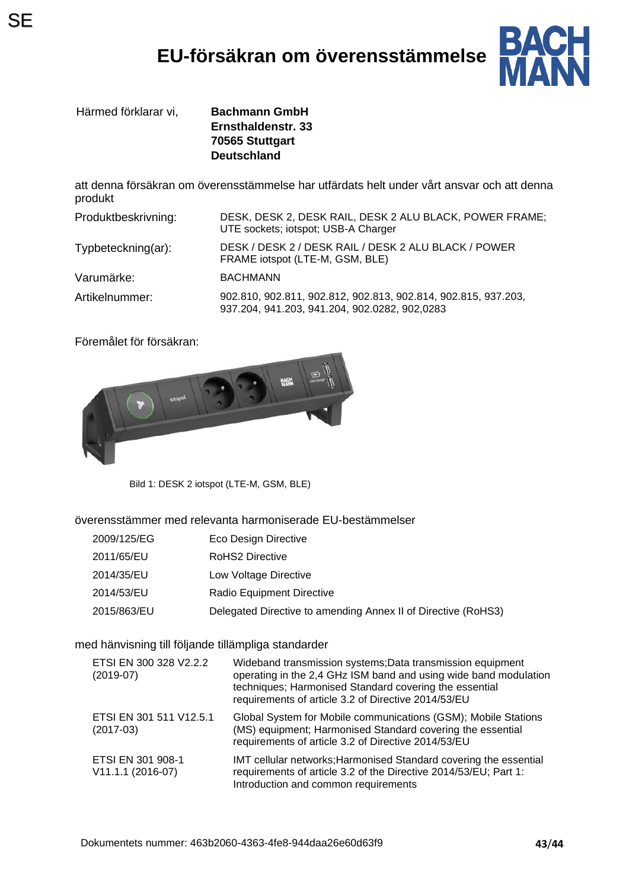# **EU-försäkran om överensstämmelse**



Härmed förklarar vi, **Bachmann GmbH**

**Ernsthaldenstr. 33 70565 Stuttgart Deutschland**

att denna försäkran om överensstämmelse har utfärdats helt under vårt ansvar och att denna produkt

| Produktbeskrivning: | DESK, DESK 2, DESK RAIL, DESK 2 ALU BLACK, POWER FRAME;<br>UTE sockets; iotspot; USB-A Charger                  |
|---------------------|-----------------------------------------------------------------------------------------------------------------|
| Typbeteckning(ar):  | DESK / DESK 2 / DESK RAIL / DESK 2 ALU BLACK / POWER<br>FRAME iotspot (LTE-M, GSM, BLE)                         |
| Varumärke:          | <b>BACHMANN</b>                                                                                                 |
| Artikelnummer:      | 902.810, 902.811, 902.812, 902.813, 902.814, 902.815, 937.203,<br>937.204, 941.203, 941.204, 902.0282, 902,0283 |

Föremålet för försäkran:



Bild 1: DESK 2 iotspot (LTE-M, GSM, BLE)

överensstämmer med relevanta harmoniserade EU-bestämmelser

| 2009/125/EG | Eco Design Directive                                          |
|-------------|---------------------------------------------------------------|
| 2011/65/EU  | RoHS2 Directive                                               |
| 2014/35/EU  | Low Voltage Directive                                         |
| 2014/53/EU  | Radio Equipment Directive                                     |
| 2015/863/EU | Delegated Directive to amending Annex II of Directive (RoHS3) |

med hänvisning till följande tillämpliga standarder

| ETSI EN 300 328 V2.2.2<br>$(2019-07)$  | Wideband transmission systems; Data transmission equipment<br>operating in the 2,4 GHz ISM band and using wide band modulation<br>techniques; Harmonised Standard covering the essential<br>requirements of article 3.2 of Directive 2014/53/EU |
|----------------------------------------|-------------------------------------------------------------------------------------------------------------------------------------------------------------------------------------------------------------------------------------------------|
| ETSI EN 301 511 V12.5.1<br>$(2017-03)$ | Global System for Mobile communications (GSM); Mobile Stations<br>(MS) equipment; Harmonised Standard covering the essential<br>requirements of article 3.2 of Directive 2014/53/EU                                                             |
| ETSI EN 301 908-1<br>V11.1.1 (2016-07) | IMT cellular networks; Harmonised Standard covering the essential<br>requirements of article 3.2 of the Directive 2014/53/EU; Part 1:<br>Introduction and common requirements                                                                   |